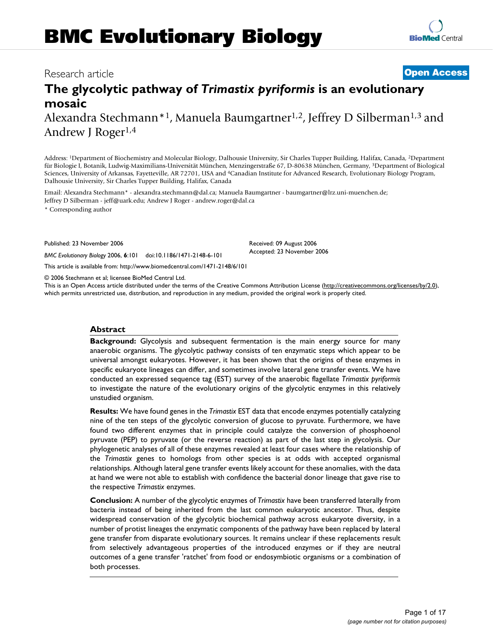# **BMC Evolutionary Biology**

# **The glycolytic pathway of** *Trimastix pyriformis* **is an evolutionary mosaic**

Alexandra Stechmann<sup>\*1</sup>, Manuela Baumgartner<sup>1,2</sup>, Jeffrey D Silberman<sup>1,3</sup> and Andrew J Roger<sup>1,4</sup>

Address: 1Department of Biochemistry and Molecular Biology, Dalhousie University, Sir Charles Tupper Building, Halifax, Canada, 2Department für Biologie I, Botanik, Ludwig-Maximilians-Universität München, Menzingerstraße 67, D-80638 München, Germany, 3Department of Biological Sciences, University of Arkansas, Fayetteville, AR 72701, USA and 4Canadian Institute for Advanced Research, Evolutionary Biology Program, Dalhousie University, Sir Charles Tupper Building, Halifax, Canada

Email: Alexandra Stechmann\* - alexandra.stechmann@dal.ca; Manuela Baumgartner - baumgartner@lrz.uni-muenchen.de; Jeffrey D Silberman - jeff@uark.edu; Andrew J Roger - andrew.roger@dal.ca

\* Corresponding author

Published: 23 November 2006

*BMC Evolutionary Biology* 2006, **6**:101 doi:10.1186/1471-2148-6-101

[This article is available from: http://www.biomedcentral.com/1471-2148/6/101](http://www.biomedcentral.com/1471-2148/6/101)

© 2006 Stechmann et al; licensee BioMed Central Ltd.

This is an Open Access article distributed under the terms of the Creative Commons Attribution License [\(http://creativecommons.org/licenses/by/2.0\)](http://creativecommons.org/licenses/by/2.0), which permits unrestricted use, distribution, and reproduction in any medium, provided the original work is properly cited.

Received: 09 August 2006 Accepted: 23 November 2006

#### **Abstract**

**Background:** Glycolysis and subsequent fermentation is the main energy source for many anaerobic organisms. The glycolytic pathway consists of ten enzymatic steps which appear to be universal amongst eukaryotes. However, it has been shown that the origins of these enzymes in specific eukaryote lineages can differ, and sometimes involve lateral gene transfer events. We have conducted an expressed sequence tag (EST) survey of the anaerobic flagellate *Trimastix pyriformis* to investigate the nature of the evolutionary origins of the glycolytic enzymes in this relatively unstudied organism.

**Results:** We have found genes in the *Trimastix* EST data that encode enzymes potentially catalyzing nine of the ten steps of the glycolytic conversion of glucose to pyruvate. Furthermore, we have found two different enzymes that in principle could catalyze the conversion of phosphoenol pyruvate (PEP) to pyruvate (or the reverse reaction) as part of the last step in glycolysis. Our phylogenetic analyses of all of these enzymes revealed at least four cases where the relationship of the *Trimastix* genes to homologs from other species is at odds with accepted organismal relationships. Although lateral gene transfer events likely account for these anomalies, with the data at hand we were not able to establish with confidence the bacterial donor lineage that gave rise to the respective *Trimastix* enzymes.

**Conclusion:** A number of the glycolytic enzymes of *Trimastix* have been transferred laterally from bacteria instead of being inherited from the last common eukaryotic ancestor. Thus, despite widespread conservation of the glycolytic biochemical pathway across eukaryote diversity, in a number of protist lineages the enzymatic components of the pathway have been replaced by lateral gene transfer from disparate evolutionary sources. It remains unclear if these replacements result from selectively advantageous properties of the introduced enzymes or if they are neutral outcomes of a gene transfer 'ratchet' from food or endosymbiotic organisms or a combination of both processes.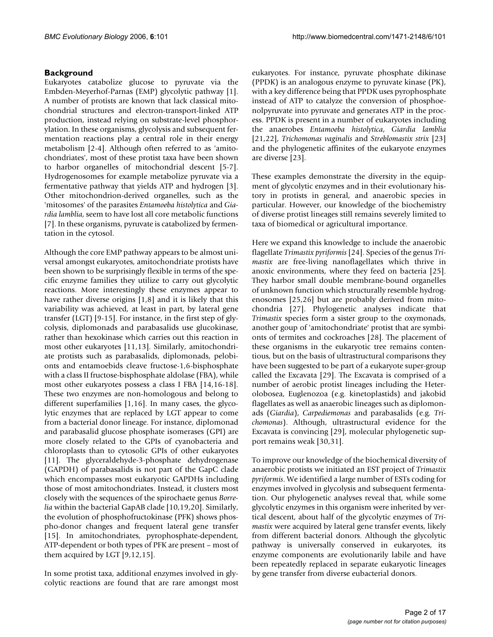#### **Background**

Eukaryotes catabolize glucose to pyruvate via the Embden-Meyerhof-Parnas (EMP) glycolytic pathway [1]. A number of protists are known that lack classical mitochondrial structures and electron-transport-linked ATP production, instead relying on substrate-level phosphorylation. In these organisms, glycolysis and subsequent fermentation reactions play a central role in their energy metabolism [2-4]. Although often referred to as 'amitochondriates', most of these protist taxa have been shown to harbor organelles of mitochondrial descent [5-7]. Hydrogenosomes for example metabolize pyruvate via a fermentative pathway that yields ATP and hydrogen [3]. Other mitochondrion-derived organelles, such as the 'mitosomes' of the parasites *Entamoeba histolytica* and *Giardia lamblia*, seem to have lost all core metabolic functions [7]. In these organisms, pyruvate is catabolized by fermentation in the cytosol.

Although the core EMP pathway appears to be almost universal amongst eukaryotes, amitochondriate protists have been shown to be surprisingly flexible in terms of the specific enzyme families they utilize to carry out glycolytic reactions. More interestingly these enzymes appear to have rather diverse origins [1,8] and it is likely that this variability was achieved, at least in part, by lateral gene transfer (LGT) [9-15]. For instance, in the first step of glycolysis, diplomonads and parabasalids use glucokinase, rather than hexokinase which carries out this reaction in most other eukaryotes [11,13]. Similarly, amitochondriate protists such as parabasalids, diplomonads, pelobionts and entamoebids cleave fructose-1,6-bisphosphate with a class II fructose-bisphosphate aldolase (FBA), while most other eukaryotes possess a class I FBA [14,16-18]. These two enzymes are non-homologous and belong to different superfamilies [1,16]. In many cases, the glycolytic enzymes that are replaced by LGT appear to come from a bacterial donor lineage. For instance, diplomonad and parabasalid glucose phosphate isomerases (GPI) are more closely related to the GPIs of cyanobacteria and chloroplasts than to cytosolic GPIs of other eukaryotes [11]. The glyceraldehyde-3-phosphate dehydrogenase (GAPDH) of parabasalids is not part of the GapC clade which encompasses most eukaryotic GAPDHs including those of most amitochondriates. Instead, it clusters most closely with the sequences of the spirochaete genus *Borrelia* within the bacterial GapAB clade [10,19,20]. Similarly, the evolution of phosphofructokinase (PFK) shows phospho-donor changes and frequent lateral gene transfer [15]. In amitochondriates, pyrophosphate-dependent, ATP-dependent or both types of PFK are present – most of them acquired by LGT [9,12,15].

In some protist taxa, additional enzymes involved in glycolytic reactions are found that are rare amongst most eukaryotes. For instance, pyruvate phosphate dikinase (PPDK) is an analogous enzyme to pyruvate kinase (PK), with a key difference being that PPDK uses pyrophosphate instead of ATP to catalyze the conversion of phosphoenolpyruvate into pyruvate and generates ATP in the process. PPDK is present in a number of eukaryotes including the anaerobes *Entamoeba histolytica*, *Giardia lamblia* [21,22], *Trichomonas vaginalis* and *Streblomastix strix* [23] and the phylogenetic affinites of the eukaryote enzymes are diverse [23].

These examples demonstrate the diversity in the equipment of glycolytic enzymes and in their evolutionary history in protists in general, and anaerobic species in particular. However, our knowledge of the biochemistry of diverse protist lineages still remains severely limited to taxa of biomedical or agricultural importance.

Here we expand this knowledge to include the anaerobic flagellate *Trimastix pyriformis* [24]. Species of the genus *Trimastix* are free-living nanoflagellates which thrive in anoxic environments, where they feed on bacteria [25]. They harbor small double membrane-bound organelles of unknown function which structurally resemble hydrogenosomes [25,26] but are probably derived from mitochondria [27]. Phylogenetic analyses indicate that *Trimastix* species form a sister group to the oxymonads, another goup of 'amitochondriate' protist that are symbionts of termites and cockroaches [28]. The placement of these organisms in the eukaryotic tree remains contentious, but on the basis of ultrastructural comparisons they have been suggested to be part of a eukaryote super-group called the Excavata [29]. The Excavata is comprised of a number of aerobic protist lineages including the Heterolobosea, Euglenozoa (e.g. kinetoplastids) and jakobid flagellates as well as anaerobic lineages such as diplomonads (*Giardia*), *Carpediemonas* and parabasalids (e.g. *Trichomonas*). Although, ultrastructural evidence for the Excavata is convincing [29], molecular phylogenetic support remains weak [30,31].

To improve our knowledge of the biochemical diversity of anaerobic protists we initiated an EST project of *Trimastix pyriformis*. We identified a large number of ESTs coding for enzymes involved in glycolysis and subsequent fermentation. Our phylogenetic analyses reveal that, while some glycolytic enzymes in this organism were inherited by vertical descent, about half of the glycolytic enzymes of *Trimastix* were acquired by lateral gene transfer events, likely from different bacterial donors. Although the glycolytic pathway is universally conserved in eukaryotes, its enzyme components are evolutionarily labile and have been repeatedly replaced in separate eukaryotic lineages by gene transfer from diverse eubacterial donors.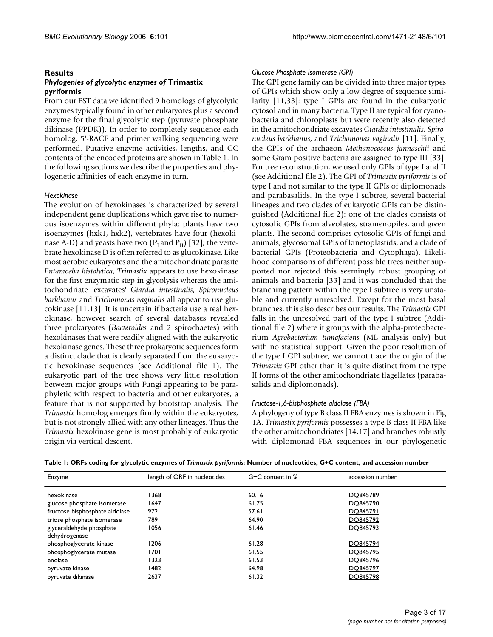#### **Results**

#### *Phylogenies of glycolytic enzymes of* **Trimastix pyriformis**

From our EST data we identified 9 homologs of glycolytic enzymes typically found in other eukaryotes plus a second enzyme for the final glycolytic step (pyruvate phosphate dikinase (PPDK)). In order to completely sequence each homolog, 5'-RACE and primer walking sequencing were performed. Putative enzyme activities, lengths, and GC contents of the encoded proteins are shown in Table 1. In the following sections we describe the properties and phylogenetic affinities of each enzyme in turn.

#### *Hexokinase*

The evolution of hexokinases is characterized by several independent gene duplications which gave rise to numerous isoenzymes within different phyla: plants have two isoenzymes (hxk1, hxk2), vertebrates have four (hexokinase A-D) and yeasts have two  $(P<sub>I</sub>$  and  $P<sub>II</sub>$  [32]; the vertebrate hexokinase D is often referred to as glucokinase. Like most aerobic eukaryotes and the amitochondriate parasite *Entamoeba histolytica*, *Trimastix* appears to use hexokinase for the first enzymatic step in glycolysis whereas the amitochondriate 'excavates' *Giardia intestinalis*, *Spironucleus barkhanus* and *Trichomonas vaginalis* all appear to use glucokinase [11,13]. It is uncertain if bacteria use a real hexokinase, however search of several databases revealed three prokaryotes (*Bacteroides* and 2 spirochaetes) with hexokinases that were readily aligned with the eukaryotic hexokinase genes. These three prokaryotic sequences form a distinct clade that is clearly separated from the eukaryotic hexokinase sequences (see Additional file 1). The eukaryotic part of the tree shows very little resolution between major groups with Fungi appearing to be paraphyletic with respect to bacteria and other eukaryotes, a feature that is not supported by bootstrap analysis. The *Trimastix* homolog emerges firmly within the eukaryotes, but is not strongly allied with any other lineages. Thus the *Trimastix* hexokinase gene is most probably of eukaryotic origin via vertical descent.

#### *Glucose Phosphate Isomerase (GPI)*

The GPI gene family can be divided into three major types of GPIs which show only a low degree of sequence similarity [11,33]: type I GPIs are found in the eukaryotic cytosol and in many bacteria. Type II are typical for cyanobacteria and chloroplasts but were recently also detected in the amitochondriate excavates *Giardia intestinalis*, *Spironucleus barkhanus*, and *Trichomonas vaginalis* [11]. Finally, the GPIs of the archaeon *Methanococcus jannaschii* and some Gram positive bacteria are assigned to type III [33]. For tree reconstruction, we used only GPIs of type I and II (see Additional file 2). The GPI of *Trimastix pyriformis* is of type I and not similar to the type II GPIs of diplomonads and parabasalids. In the type I subtree, several bacterial lineages and two clades of eukaryotic GPIs can be distinguished (Additional file 2): one of the clades consists of cytosolic GPIs from alveolates, stramenopiles, and green plants. The second comprises cytosolic GPIs of fungi and animals, glycosomal GPIs of kinetoplastids, and a clade of bacterial GPIs (Proteobacteria and Cytophaga). Likelihood comparisons of different possible trees neither supported nor rejected this seemingly robust grouping of animals and bacteria [33] and it was concluded that the branching pattern within the type I subtree is very unstable and currently unresolved. Except for the most basal branches, this also describes our results. The *Trimastix* GPI falls in the unresolved part of the type I subtree (Additional file 2) where it groups with the alpha-proteobacterium *Agrobacterium tumefaciens* (ML analysis only) but with no statistical support. Given the poor resolution of the type I GPI subtree, we cannot trace the origin of the *Trimastix* GPI other than it is quite distinct from the type II forms of the other amitochondriate flagellates (parabasalids and diplomonads).

#### *Fructose-1,6-bisphosphate aldolase (FBA)*

A phylogeny of type B class II FBA enzymes is shown in Fig 1A. *Trimastix pyriformis* possesses a type B class II FBA like the other amitochondriates [14,17] and branches robustly with diplomonad FBA sequences in our phylogenetic

| Enzyme                         | length of ORF in nucleotides | $G+C$ content in $%$ | accession number |
|--------------------------------|------------------------------|----------------------|------------------|
| hexokinase                     | 1368                         | 60.16                | DO845789         |
| glucose phosphate isomerase    | 1647                         | 61.75                | DQ845790         |
| fructose bisphosphate aldolase | 972                          | 57.61                | DQ845791         |
| triose phosphate isomerase     | 789                          | 64.90                | DO845792         |
| glyceraldehyde phosphate       | 1056                         | 61.46                | DQ845793         |
| dehydrogenase                  |                              |                      |                  |
| phosphoglycerate kinase        | 1206                         | 61.28                | DO845794         |
| phosphoglycerate mutase        | 1701                         | 61.55                | DO845795         |
| enolase                        | 1323                         | 61.53                | DQ845796         |
| pyruvate kinase                | 1482                         | 64.98                | DQ845797         |
| pyruvate dikinase              | 2637                         | 61.32                | DQ845798         |

#### **Table 1: ORFs coding for glycolytic enzymes of** *Trimastix pyriformis***: Number of nucleotides, G+C content, and accession number**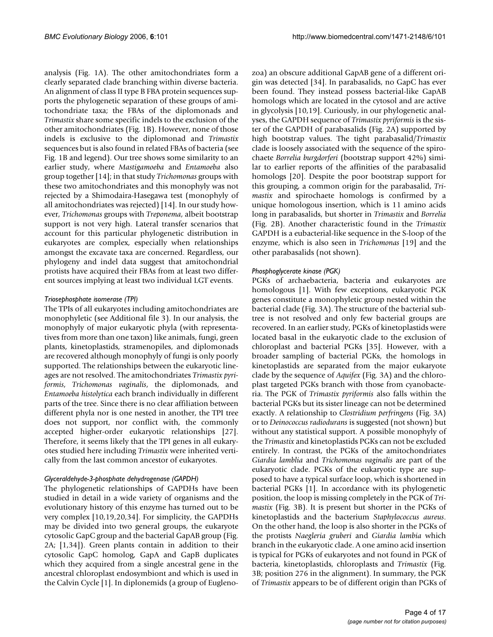analysis (Fig. 1A). The other amitochondriates form a clearly separated clade branching within diverse bacteria. An alignment of class II type B FBA protein sequences supports the phylogenetic separation of these groups of amitochondriate taxa; the FBAs of the diplomonads and *Trimastix* share some specific indels to the exclusion of the other amitochondriates (Fig. 1B). However, none of those indels is exclusive to the diplomonad and *Trimastix* sequences but is also found in related FBAs of bacteria (see Fig. 1B and legend). Our tree shows some similarity to an earlier study, where *Mastigamoeba* and *Entamoeba* also group together [14]; in that study *Trichomonas* groups with these two amitochondriates and this monophyly was not rejected by a Shimodaira-Hasegawa test (monophyly of all amitochondriates was rejected) [14]. In our study however, *Trichomonas* groups with *Treponema*, albeit bootstrap support is not very high. Lateral transfer scenarios that account for this particular phylogenetic distribution in eukaryotes are complex, especially when relationships amongst the excavate taxa are concerned. Regardless, our phylogeny and indel data suggest that amitochondrial protists have acquired their FBAs from at least two different sources implying at least two individual LGT events.

#### *Triosephosphate isomerase (TPI)*

The TPIs of all eukaryotes including amitochondriates are monophyletic (see Additional file 3). In our analysis, the monophyly of major eukaryotic phyla (with representatives from more than one taxon) like animals, fungi, green plants, kinetoplastids, stramenopiles, and diplomonads are recovered although monophyly of fungi is only poorly supported. The relationships between the eukaryotic lineages are not resolved. The amitochondriates *Trimastix pyriformis*, *Trichomonas vaginalis*, the diplomonads, and *Entamoeba histolytica* each branch individually in different parts of the tree. Since there is no clear affiliation between different phyla nor is one nested in another, the TPI tree does not support, nor conflict with, the commonly accepted higher-order eukaryotic relationships [27]. Therefore, it seems likely that the TPI genes in all eukaryotes studied here including *Trimastix* were inherited vertically from the last common ancestor of eukaryotes.

# *Glyceraldehyde-3-phosphate dehydrogenase (GAPDH)*

The phylogenetic relationships of GAPDHs have been studied in detail in a wide variety of organisms and the evolutionary history of this enzyme has turned out to be very complex [10,19,20,34]. For simplicity, the GAPDHs may be divided into two general groups, the eukaryote cytosolic GapC group and the bacterial GapAB group (Fig. 2A; [1,34]). Green plants contain in addition to their cytosolic GapC homolog, GapA and GapB duplicates which they acquired from a single ancestral gene in the ancestral chloroplast endosymbiont and which is used in the Calvin Cycle [1]. In diplonemids (a group of Euglenozoa) an obscure additional GapAB gene of a different origin was detected [34]. In parabasalids, no GapC has ever been found. They instead possess bacterial-like GapAB homologs which are located in the cytosol and are active in glycolysis [10,19]. Curiously, in our phylogenetic analyses, the GAPDH sequence of *Trimastix pyriformis* is the sister of the GAPDH of parabasalids (Fig. 2A) supported by high bootstrap values. The tight parabasalid/*Trimastix* clade is loosely associated with the sequence of the spirochaete *Borrelia burgdorferi* (bootstrap support 42%) similar to earlier reports of the affinities of the parabasalid homologs [20]. Despite the poor bootstrap support for this grouping, a common origin for the parabasalid, *Trimastix* and spirochaete homologs is confirmed by a unique homologous insertion, which is 11 amino acids long in parabasalids, but shorter in *Trimastix* and *Borrelia* (Fig. 2B). Another characteristic found in the *Trimastix* GAPDH is a eubacterial-like sequence in the S-loop of the enzyme, which is also seen in *Trichomonas* [19] and the other parabasalids (not shown).

#### *Phosphoglycerate kinase (PGK)*

PGKs of archaebacteria, bacteria and eukaryotes are homologous [1]. With few exceptions, eukaryotic PGK genes constitute a monophyletic group nested within the bacterial clade (Fig. 3A). The structure of the bacterial subtree is not resolved and only few bacterial groups are recovered. In an earlier study, PGKs of kinetoplastids were located basal in the eukaryotic clade to the exclusion of chloroplast and bacterial PGKs [35]. However, with a broader sampling of bacterial PGKs, the homologs in kinetoplastids are separated from the major eukaryote clade by the sequence of *Aquifex* (Fig. 3A) and the chloroplast targeted PGKs branch with those from cyanobacteria. The PGK of *Trimastix pyriformis* also falls within the bacterial PGKs but its sister lineage can not be determined exactly. A relationship to *Clostridium perfringens* (Fig. 3A) or to *Deinococcus radiodurans* is suggested (not shown) but without any statistical support. A possible monophyly of the *Trimastix* and kinetoplastids PGKs can not be excluded entirely. In contrast, the PGKs of the amitochondriates *Giardia lamblia* and *Trichomonas vaginalis* are part of the eukaryotic clade. PGKs of the eukaryotic type are supposed to have a typical surface loop, which is shortened in bacterial PGKs [1]. In accordance with its phylogenetic position, the loop is missing completely in the PGK of *Trimastix* (Fig. 3B). It is present but shorter in the PGKs of kinetoplastids and the bacterium *Staphylococcus aureus*. On the other hand, the loop is also shorter in the PGKs of the protists *Naegleria gruberi* and *Giardia lambia* which branch in the eukaryotic clade. A one amino acid insertion is typical for PGKs of eukaryotes and not found in PGK of bacteria, kinetoplastids, chloroplasts and *Trimastix* (Fig. 3B; position 276 in the alignment). In summary, the PGK of *Trimastix* appears to be of different origin than PGKs of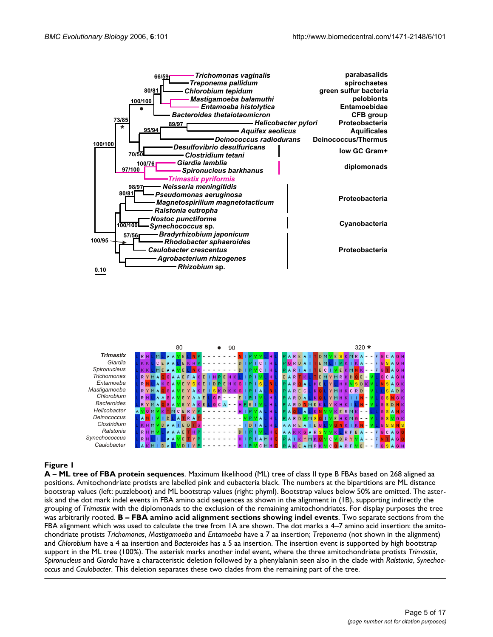

|                    |                |    |  |     |                | 80                |     |  |  |   |  | 90 |  |   |                |  |    |     |       |     |     |    |     |     |           |           |     | 320 $*$ |  |     |       |     |
|--------------------|----------------|----|--|-----|----------------|-------------------|-----|--|--|---|--|----|--|---|----------------|--|----|-----|-------|-----|-----|----|-----|-----|-----------|-----------|-----|---------|--|-----|-------|-----|
| <b>Trimastix</b>   |                |    |  |     |                |                   |     |  |  |   |  |    |  |   |                |  |    |     |       |     |     |    |     |     |           |           |     |         |  |     |       |     |
| Giardia            | KKL            |    |  | CEA |                |                   |     |  |  |   |  |    |  |   | c              |  | P. |     | GRDAI |     |     |    |     |     |           | <b>PK</b> |     |         |  |     | IG H  |     |
| Spironucleus       | KKL            |    |  |     |                | MEAAVE            |     |  |  |   |  |    |  |   | ic I           |  |    | AR  |       | l A |     |    | IC. |     |           | $K$ M     |     |         |  |     |       | G H |
| Trichomonas        | RYMA           |    |  |     |                |                   |     |  |  |   |  |    |  |   |                |  |    | R   |       |     |     |    |     |     | <b>RK</b> |           |     |         |  | Ic. | A G H |     |
| Entamoeba          | R              |    |  |     |                | NLAKGAVEYSKEIDPEH |     |  |  |   |  |    |  |   |                |  |    | PAR |       |     |     | KE |     |     | н         |           |     |         |  |     |       |     |
| Mastigamoeba       | <b>RY</b>      |    |  |     |                | <b>OGAVEY</b>     |     |  |  |   |  |    |  |   |                |  |    |     | AREC  |     |     |    |     |     |           |           | CRD |         |  |     | D     |     |
| Chlorobium         | RHL            |    |  |     |                | <b>AGAVEY</b>     |     |  |  | R |  |    |  |   |                |  |    |     | ARD   |     |     |    |     |     |           |           |     |         |  |     |       |     |
| <b>Bacteroides</b> | R              |    |  |     |                |                   |     |  |  |   |  |    |  |   |                |  |    |     |       |     |     |    |     |     |           |           |     |         |  |     |       |     |
| Helicobacter       |                | G. |  |     |                | MCER              |     |  |  |   |  |    |  |   |                |  |    |     |       |     |     |    |     |     |           | KERMK     |     |         |  |     |       |     |
| Deinococcus        |                |    |  |     |                |                   | IR. |  |  |   |  |    |  |   |                |  |    |     | PARD  |     |     |    |     |     |           | <b>KM</b> |     |         |  |     |       |     |
| Clostridium        |                |    |  |     | $\overline{A}$ |                   |     |  |  |   |  |    |  | D | A              |  |    |     | ARE   |     |     |    |     |     |           |           |     |         |  |     |       |     |
| Ralstonia          | RHM            |    |  |     |                | AAAE              |     |  |  |   |  |    |  |   |                |  |    |     |       |     | AR. |    |     |     |           | R F       |     |         |  | IC. |       |     |
| Synechococcus      | R <sub>H</sub> |    |  |     |                |                   |     |  |  |   |  |    |  |   |                |  | P  |     |       |     |     |    |     | IC. |           | V D R     |     |         |  |     |       |     |
| Caulobacter        |                |    |  |     |                |                   |     |  |  |   |  |    |  |   | C <sub>M</sub> |  |    |     |       |     | R   |    |     |     |           |           |     |         |  |     |       |     |

**A – ML tree of FBA protein sequences**. Maximum likelihood (ML) tree of class II type B FBAs based on 268 aligned aa positions. Amitochondriate protists are labelled pink and eubacteria black. The numbers at the bipartitions are ML distance bootstrap values (left: puzzleboot) and ML bootstrap values (right: phyml). Bootstrap values below 50% are omitted. The asterisk and the dot mark indel events in FBA amino acid sequences as shown in the alignment in (1B), supporting indirectly the grouping of *Trimastix* with the diplomonads to the exclusion of the remaining amitochondriates. For display purposes the tree was arbitrarily rooted. **B – FBA amino acid alignment sections showing indel events**. Two separate sections from the FBA alignment which was used to calculate the tree from 1A are shown. The dot marks a 4–7 amino acid insertion: the amitochondriate protists *Trichomonas*, *Mastigamoeba* and *Entamoeba* have a 7 aa insertion; *Treponema* (not shown in the alignment) and *Chlorobium* have a 4 aa insertion and *Bacteroides* has a 5 aa insertion. The insertion event is supported by high bootstrap support in the ML tree (100%). The asterisk marks another indel event, where the three amitochondriate protists *Trimastix*, *Spironucleus* and *Giardia* have a characteristic deletion followed by a phenylalanin seen also in the clade with *Ralstonia*, *Synechococcus* and *Caulobacter*. This deletion separates these two clades from the remaining part of the tree.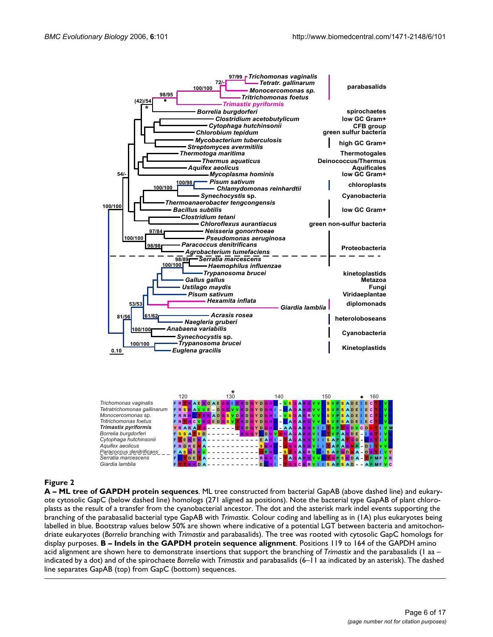

**A – ML tree of GAPDH protein sequences**. ML tree constructed from bacterial GapAB (above dashed line) and eukaryote cytosolic GapC (below dashed line) homologs (271 aligned aa positions). Note the bacterial type GapAB of plant chloroplasts as the result of a transfer from the cyanobacterial ancestor. The dot and the asterisk mark indel events supporting the branching of the parabasalid bacterial type GapAB with *Trimastix*. Colour coding and labelling as in (1A) plus eukaryotes being labelled in blue. Bootstrap values below 50% are shown where indicative of a potential LGT between bacteria and amitochondriate eukaryotes (*Borrelia* branching with *Trimastix* and parabasalids). The tree was rooted with cytosolic GapC homologs for display purposes. **B – Indels in the GAPDH protein sequence alignment**. Positions 119 to 164 of the GAPDH amino acid alignment are shown here to demonstrate insertions that support the branching of *Trimastix* and the parabasalids (1 aa – indicated by a dot) and of the spirochaete *Borrelia* with *Trimastix* and parabasalids (6–11 aa indicated by an asterisk). The dashed line separates GapAB (top) from GapC (bottom) sequences.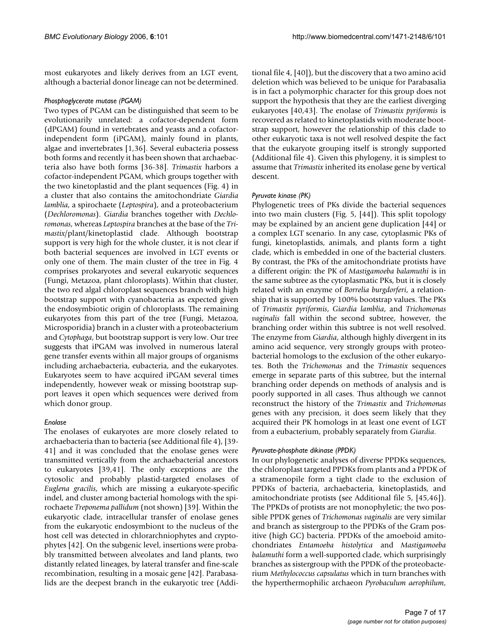most eukaryotes and likely derives from an LGT event, although a bacterial donor lineage can not be determined.

#### *Phosphoglycerate mutase (PGAM)*

Two types of PGAM can be distinguished that seem to be evolutionarily unrelated: a cofactor-dependent form (dPGAM) found in vertebrates and yeasts and a cofactorindependent form (iPGAM), mainly found in plants, algae and invertebrates [1,36]. Several eubacteria possess both forms and recently it has been shown that archaebacteria also have both forms [36-38]. *Trimastix* harbors a cofactor-independent PGAM, which groups together with the two kinetoplastid and the plant sequences (Fig. 4) in a cluster that also contains the amitochondriate *Giardia lamblia*, a spirochaete (*Leptospira*), and a proteobacterium (*Dechloromonas*). *Giardia* branches together with *Dechloromonas*, whereas *Leptospira* branches at the base of the *Trimastix*/plant/kinetoplastid clade. Although bootstrap support is very high for the whole cluster, it is not clear if both bacterial sequences are involved in LGT events or only one of them. The main cluster of the tree in Fig. 4 comprises prokaryotes and several eukaryotic sequences (Fungi, Metazoa, plant chloroplasts). Within that cluster, the two red algal chloroplast sequences branch with high bootstrap support with cyanobacteria as expected given the endosymbiotic origin of chloroplasts. The remaining eukaryotes from this part of the tree (Fungi, Metazoa, Microsporidia) branch in a cluster with a proteobacterium and *Cytophaga*, but bootstrap support is very low. Our tree suggests that iPGAM was involved in numerous lateral gene transfer events within all major groups of organisms including archaebacteria, eubacteria, and the eukaryotes. Eukaryotes seem to have acquired iPGAM several times independently, however weak or missing bootstrap support leaves it open which sequences were derived from which donor group.

#### *Enolase*

The enolases of eukaryotes are more closely related to archaebacteria than to bacteria (see Additional file 4), [39- 41] and it was concluded that the enolase genes were transmitted vertically from the archaebacterial ancestors to eukaryotes [39,41]. The only exceptions are the cytosolic and probably plastid-targeted enolases of *Euglena gracilis*, which are missing a eukaryote-specific indel, and cluster among bacterial homologs with the spirochaete *Treponema pallidum* (not shown) [39]. Within the eukaryotic clade, intracellular transfer of enolase genes from the eukaryotic endosymbiont to the nucleus of the host cell was detected in chlorarchniophytes and cryptophytes [42]. On the subgenic level, insertions were probably transmitted between alveolates and land plants, two distantly related lineages, by lateral transfer and fine-scale recombination, resulting in a mosaic gene [42]. Parabasalids are the deepest branch in the eukaryotic tree (Additional file 4, [40]), but the discovery that a two amino acid deletion which was believed to be unique for Parabasalia is in fact a polymorphic character for this group does not support the hypothesis that they are the earliest diverging eukaryotes [40,43]. The enolase of *Trimastix pyriformis* is recovered as related to kinetoplastids with moderate bootstrap support, however the relationship of this clade to other eukaryotic taxa is not well resolved despite the fact that the eukaryote grouping itself is strongly supported (Additional file 4). Given this phylogeny, it is simplest to assume that *Trimastix* inherited its enolase gene by vertical descent.

#### *Pyruvate kinase (PK)*

Phylogenetic trees of PKs divide the bacterial sequences into two main clusters (Fig. 5, [44]). This split topology may be explained by an ancient gene duplication [44] or a complex LGT scenario. In any case, cytoplasmic PKs of fungi, kinetoplastids, animals, and plants form a tight clade, which is embedded in one of the bacterial clusters. By contrast, the PKs of the amitochondriate protists have a different origin: the PK of *Mastigamoeba balamuthi* is in the same subtree as the cytoplasmatic PKs, but it is closely related with an enzyme of *Borrelia burgdorferi*, a relationship that is supported by 100% bootstrap values. The PKs of *Trimastix pyriformis*, *Giardia lamblia*, and *Trichomonas vaginalis* fall within the second subtree, however, the branching order within this subtree is not well resolved. The enzyme from *Giardia*, although highly divergent in its amino acid sequence, very strongly groups with proteobacterial homologs to the exclusion of the other eukaryotes. Both the *Trichomonas* and the *Trimastix* sequences emerge in separate parts of this subtree, but the internal branching order depends on methods of analysis and is poorly supported in all cases. Thus although we cannot reconstruct the history of the *Trimastix* and *Trichomonas* genes with any precision, it does seem likely that they acquired their PK homologs in at least one event of LGT from a eubacterium, probably separately from *Giardia*.

#### *Pyruvate-phosphate dikinase (PPDK)*

In our phylogenetic analyses of diverse PPDKs sequences, the chloroplast targeted PPDKs from plants and a PPDK of a stramenopile form a tight clade to the exclusion of PPDKs of bacteria, archaebacteria, kinetoplastids, and amitochondriate protists (see Additional file 5, [45,46]). The PPKDs of protists are not monophyletic; the two possible PPDK genes of *Trichomonas vaginalis* are very similar and branch as sistergroup to the PPDKs of the Gram positive (high GC) bacteria. PPDKs of the amoeboid amitochondriates *Entamoeba histolytica* and *Mastigamoeba balamuthi* form a well-supported clade, which surprisingly branches as sistergroup with the PPDK of the proteobacterium *Methylococcus capsulatus* which in turn branches with the hyperthermophilic archaeon *Pyrobaculum aerophilum*,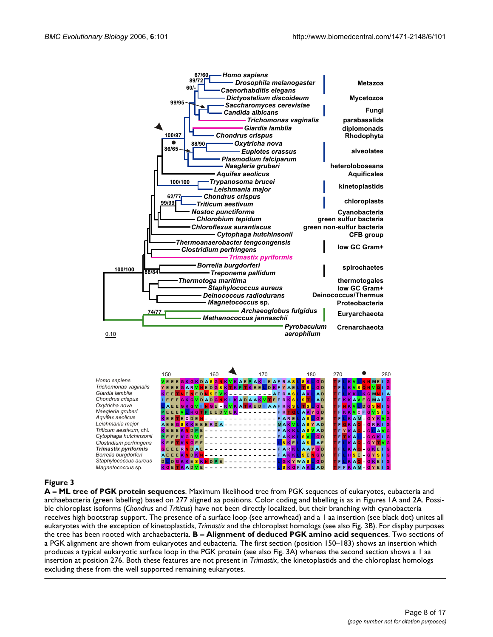

**A – ML tree of PGK protein sequences**. Maximum likelihood tree from PGK sequences of eukaryotes, eubacteria and archaebacteria (green labelling) based on 277 aligned aa positions. Color coding and labelling is as in Figures 1A and 2A. Possible chloroplast isoforms (*Chondrus* and *Triticus*) have not been directly localized, but their branching with cyanobacteria receives high bootstrap support. The presence of a surface loop (see arrowhead) and a 1 aa insertion (see black dot) unites all eukaryotes with the exception of kinetoplastids, *Trimastix* and the chloroplast homologs (see also Fig. 3B). For display purposes the tree has been rooted with archaebacteria. **B – Alignment of deduced PGK amino acid sequences**. Two sections of a PGK alignment are shown from eukaryotes and eubacteria. The first section (position 150–183) shows an insertion which produces a typical eukaryotic surface loop in the PGK protein (see also Fig. 3A) whereas the second section shows a 1 aa insertion at position 276. Both these features are not present in *Trimastix*, the kinetoplastids and the chloroplast homologs excluding these from the well supported remaining eukaryotes.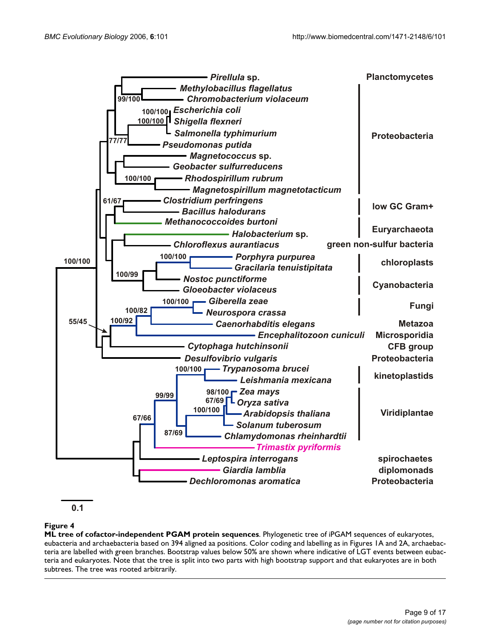

**0.1**

# **Figure 4**

**ML tree of cofactor-independent PGAM protein sequences**. Phylogenetic tree of iPGAM sequences of eukaryotes, eubacteria and archaebacteria based on 394 aligned aa positions. Color coding and labelling as in Figures 1A and 2A, archaebacteria are labelled with green branches. Bootstrap values below 50% are shown where indicative of LGT events between eubacteria and eukaryotes. Note that the tree is split into two parts with high bootstrap support and that eukaryotes are in both subtrees. The tree was rooted arbitrarily.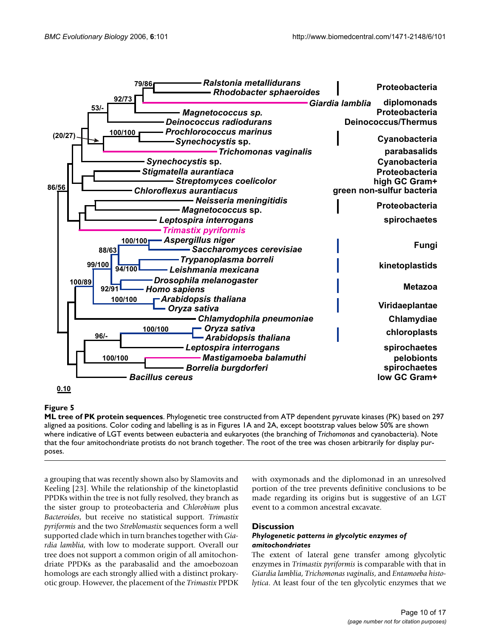

**ML tree of PK protein sequences**. Phylogenetic tree constructed from ATP dependent pyruvate kinases (PK) based on 297 aligned aa positions. Color coding and labelling is as in Figures 1A and 2A, except bootstrap values below 50% are shown where indicative of LGT events between eubacteria and eukaryotes (the branching of *Trichomonas* and cyanobacteria). Note that the four amitochondriate protists do not branch together. The root of the tree was chosen arbitrarily for display purposes.

a grouping that was recently shown also by Slamovits and Keeling [23]. While the relationship of the kinetoplastid PPDKs within the tree is not fully resolved, they branch as the sister group to proteobacteria and *Chlorobium* plus *Bacteroides*, but receive no statistical support. *Trimastix pyriformis* and the two *Streblomastix* sequences form a well supported clade which in turn branches together with *Giardia lamblia*, with low to moderate support. Overall our tree does not support a common origin of all amitochondriate PPDKs as the parabasalid and the amoebozoan homologs are each strongly allied with a distinct prokaryotic group. However, the placement of the *Trimastix* PPDK with oxymonads and the diplomonad in an unresolved portion of the tree prevents definitive conclusions to be made regarding its origins but is suggestive of an LGT event to a common ancestral excavate.

#### **Discussion**

#### *Phylogenetic patterns in glycolytic enzymes of amitochondriates*

The extent of lateral gene transfer among glycolytic enzymes in *Trimastix pyriformis* is comparable with that in *Giardia lamblia*, *Trichomonas vaginalis*, and *Entamoeba histolytica*. At least four of the ten glycolytic enzymes that we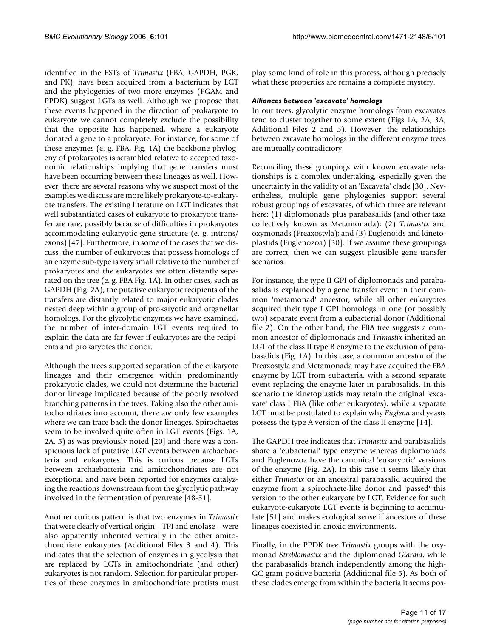identified in the ESTs of *Trimastix* (FBA, GAPDH, PGK, and PK), have been acquired from a bacterium by LGT and the phylogenies of two more enzymes (PGAM and PPDK) suggest LGTs as well. Although we propose that these events happened in the direction of prokaryote to eukaryote we cannot completely exclude the possibility that the opposite has happened, where a eukaryote donated a gene to a prokaryote. For instance, for some of these enzymes (e. g. FBA, Fig. 1A) the backbone phylogeny of prokaryotes is scrambled relative to accepted taxonomic relationships implying that gene transfers must have been occurring between these lineages as well. However, there are several reasons why we suspect most of the examples we discuss are more likely prokaryote-to-eukaryote transfers. The existing literature on LGT indicates that well substantiated cases of eukaryote to prokaryote transfer are rare, possibly because of difficulties in prokaryotes accommodating eukaryotic gene structure (e. g. introns/ exons) [47]. Furthermore, in some of the cases that we discuss, the number of eukaryotes that possess homologs of an enzyme sub-type is very small relative to the number of prokaryotes and the eukaryotes are often distantly separated on the tree (e. g. FBA Fig. 1A). In other cases, such as GAPDH (Fig. 2A), the putative eukaryotic recipients of the transfers are distantly related to major eukaryotic clades nested deep within a group of prokaryotic and organellar homologs. For the glycolytic enzymes we have examined, the number of inter-domain LGT events required to explain the data are far fewer if eukaryotes are the recipients and prokaryotes the donor.

Although the trees supported separation of the eukaryote lineages and their emergence within predominantly prokaryotic clades, we could not determine the bacterial donor lineage implicated because of the poorly resolved branching patterns in the trees. Taking also the other amitochondriates into account, there are only few examples where we can trace back the donor lineages. Spirochaetes seem to be involved quite often in LGT events (Figs. 1A, 2A, 5) as was previously noted [20] and there was a conspicuous lack of putative LGT events between archaebacteria and eukaryotes. This is curious because LGTs between archaebacteria and amitochondriates are not exceptional and have been reported for enzymes catalyzing the reactions downstream from the glycolytic pathway involved in the fermentation of pyruvate [48-51].

Another curious pattern is that two enzymes in *Trimastix* that were clearly of vertical origin – TPI and enolase – were also apparently inherited vertically in the other amitochondriate eukaryotes (Additional Files 3 and 4). This indicates that the selection of enzymes in glycolysis that are replaced by LGTs in amitochondriate (and other) eukaryotes is not random. Selection for particular properties of these enzymes in amitochondriate protists must

play some kind of role in this process, although precisely what these properties are remains a complete mystery.

#### *Alliances between 'excavate' homologs*

In our trees, glycolytic enzyme homologs from excavates tend to cluster together to some extent (Figs 1A, 2A, 3A, Additional Files 2 and 5). However, the relationships between excavate homologs in the different enzyme trees are mutually contradictory.

Reconciling these groupings with known excavate relationships is a complex undertaking, especially given the uncertainty in the validity of an 'Excavata' clade [30]. Nevertheless, multiple gene phylogenies support several robust groupings of excavates, of which three are relevant here: (1) diplomonads plus parabasalids (and other taxa collectively known as Metamonada); (2) *Trimastix* and oxymonads (Preaxostyla); and (3) Euglenoids and kinetoplastids (Euglenozoa) [30]. If we assume these groupings are correct, then we can suggest plausible gene transfer scenarios.

For instance, the type II GPI of diplomonads and parabasalids is explained by a gene transfer event in their common 'metamonad' ancestor, while all other eukaryotes acquired their type I GPI homologs in one (or possibly two) separate event from a eubacterial donor (Additional file 2). On the other hand, the FBA tree suggests a common ancestor of diplomonads and *Trimastix* inherited an LGT of the class II type B enzyme to the exclusion of parabasalids (Fig. 1A). In this case, a common ancestor of the Preaxostyla and Metamonada may have acquired the FBA enzyme by LGT from eubacteria, with a second separate event replacing the enzyme later in parabasalids. In this scenario the kinetoplastids may retain the original 'excavate' class I FBA (like other eukaryotes), while a separate LGT must be postulated to explain why *Euglena* and yeasts possess the type A version of the class II enzyme [14].

The GAPDH tree indicates that *Trimastix* and parabasalids share a 'eubacterial' type enzyme whereas diplomonads and Euglenozoa have the canonical 'eukaryotic' versions of the enzyme (Fig. 2A). In this case it seems likely that either *Trimastix* or an ancestral parabasalid acquired the enzyme from a spirochaete-like donor and 'passed' this version to the other eukaryote by LGT. Evidence for such eukaryote-eukaryote LGT events is beginning to accumulate [51] and makes ecological sense if ancestors of these lineages coexisted in anoxic environments.

Finally, in the PPDK tree *Trimastix* groups with the oxymonad *Streblomastix* and the diplomonad *Giardia*, while the parabasalids branch independently among the high-GC gram positive bacteria (Additional file 5). As both of these clades emerge from within the bacteria it seems pos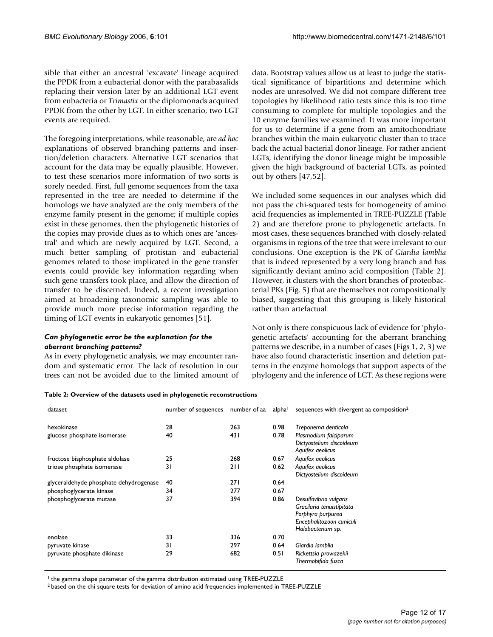sible that either an ancestral 'excavate' lineage acquired the PPDK from a eubacterial donor with the parabasalids replacing their version later by an additional LGT event from eubacteria or *Trimastix* or the diplomonads acquired PPDK from the other by LGT. In either scenario, two LGT events are required.

The foregoing interpretations, while reasonable, are *ad hoc* explanations of observed branching patterns and insertion/deletion characters. Alternative LGT scenarios that account for the data may be equally plausible. However, to test these scenarios more information of two sorts is sorely needed. First, full genome sequences from the taxa represented in the tree are needed to determine if the homologs we have analyzed are the only members of the enzyme family present in the genome; if multiple copies exist in these genomes, then the phylogenetic histories of the copies may provide clues as to which ones are 'ancestral' and which are newly acquired by LGT. Second, a much better sampling of protistan and eubacterial genomes related to those implicated in the gene transfer events could provide key information regarding when such gene transfers took place, and allow the direction of transfer to be discerned. Indeed, a recent investigation aimed at broadening taxonomic sampling was able to provide much more precise information regarding the timing of LGT events in eukaryotic genomes [51].

#### *Can phylogenetic error be the explanation for the aberrant branching patterns?*

As in every phylogenetic analysis, we may encounter random and systematic error. The lack of resolution in our trees can not be avoided due to the limited amount of data. Bootstrap values allow us at least to judge the statistical significance of bipartitions and determine which nodes are unresolved. We did not compare different tree topologies by likelihood ratio tests since this is too time consuming to complete for multiple topologies and the 10 enzyme families we examined. It was more important for us to determine if a gene from an amitochondriate branches within the main eukaryotic cluster than to trace back the actual bacterial donor lineage. For rather ancient LGTs, identifying the donor lineage might be impossible given the high background of bacterial LGTs, as pointed out by others [47,52].

We included some sequences in our analyses which did not pass the chi-squared tests for homogeneity of amino acid frequencies as implemented in TREE-PUZZLE (Table 2) and are therefore prone to phylogenetic artefacts. In most cases, these sequences branched with closely-related organisms in regions of the tree that were irrelevant to our conclusions. One exception is the PK of *Giardia lamblia* that is indeed represented by a very long branch and has significantly deviant amino acid composition (Table 2). However, it clusters with the short branches of proteobacterial PKs (Fig. 5) that are themselves not compositionally biased, suggesting that this grouping is likely historical rather than artefactual.

Not only is there conspicuous lack of evidence for 'phylogenetic artefacts' accounting for the aberrant branching patterns we describe, in a number of cases (Figs 1, 2, 3) we have also found characteristic insertion and deletion patterns in the enzyme homologs that support aspects of the phylogeny and the inference of LGT. As these regions were

|  |  |  |  |  |  | Table 2: Overview of the datasets used in phylogenetic reconstructions |
|--|--|--|--|--|--|------------------------------------------------------------------------|
|--|--|--|--|--|--|------------------------------------------------------------------------|

| dataset                                | number of sequences number of aa |            | alpha | sequences with divergent aa composition <sup>2</sup>                                                                      |
|----------------------------------------|----------------------------------|------------|-------|---------------------------------------------------------------------------------------------------------------------------|
| hexokinase                             | 28                               | 263        | 0.98  | Treponema denticola                                                                                                       |
| glucose phosphate isomerase            | 40                               | 43 I       | 0.78  | Plasmodium falciparum<br>Dictyostelium discoideum<br>Aquifex aeolicus                                                     |
| fructose bisphosphate aldolase         | 25                               | 268        | 0.67  | Aquifex aeolicus                                                                                                          |
| triose phosphate isomerase             | 31                               | 211        | 0.62  | Aquifex aeolicus<br>Dictyostelium discoideum                                                                              |
| glyceraldehyde phosphate dehydrogenase | 40                               | <b>271</b> | 0.64  |                                                                                                                           |
| phosphoglycerate kinase                | 34                               | 277        | 0.67  |                                                                                                                           |
| phosphoglycerate mutase                | 37                               | 394        | 0.86  | Desulfovibrio vulgaris<br>Gracilaria tenuistipitata<br>Porphyra purpurea<br>Encephalitozoon cuniculi<br>Halobacterium sp. |
| enolase                                | 33                               | 336        | 0.70  |                                                                                                                           |
| pyruvate kinase                        | 31                               | 297        | 0.64  | Giardia lamblia                                                                                                           |
| pyruvate phosphate dikinase            | 29                               | 682        | 0.51  | Rickettsia prowazekii<br>Thermobifida fusca                                                                               |

<sup>1</sup> the gamma shape parameter of the gamma distribution estimated using TREE-PUZZLE

2 based on the chi square tests for deviation of amino acid frequencies implemented in TREE-PUZZLE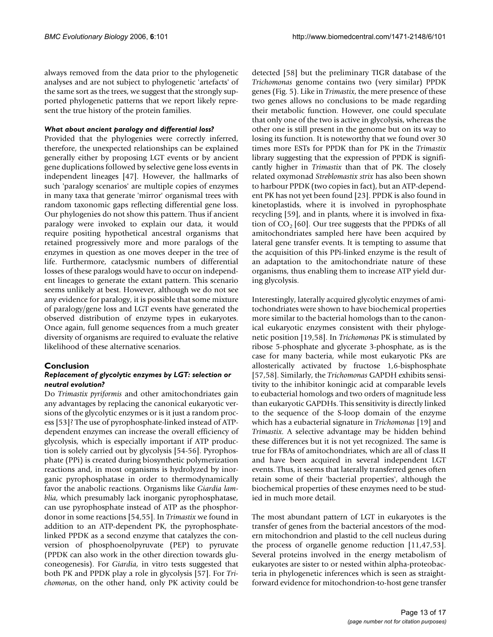always removed from the data prior to the phylogenetic analyses and are not subject to phylogenetic 'artefacts' of the same sort as the trees, we suggest that the strongly supported phylogenetic patterns that we report likely represent the true history of the protein families.

#### *What about ancient paralogy and differential loss?*

Provided that the phylogenies were correctly inferred, therefore, the unexpected relationships can be explained generally either by proposing LGT events or by ancient gene duplications followed by selective gene loss events in independent lineages [47]. However, the hallmarks of such 'paralogy scenarios' are multiple copies of enzymes in many taxa that generate 'mirror' organismal trees with random taxonomic gaps reflecting differential gene loss. Our phylogenies do not show this pattern. Thus if ancient paralogy were invoked to explain our data, it would require positing hypothetical ancestral organisms that retained progressively more and more paralogs of the enzymes in question as one moves deeper in the tree of life. Furthermore, cataclysmic numbers of differential losses of these paralogs would have to occur on independent lineages to generate the extant pattern. This scenario seems unlikely at best. However, although we do not see any evidence for paralogy, it is possible that some mixture of paralogy/gene loss and LGT events have generated the observed distribution of enzyme types in eukaryotes. Once again, full genome sequences from a much greater diversity of organisms are required to evaluate the relative likelihood of these alternative scenarios.

#### **Conclusion**

#### *Replacement of glycolytic enzymes by LGT: selection or neutral evolution?*

Do *Trimastix pyriformis* and other amitochondriates gain any advantages by replacing the canonical eukaryotic versions of the glycolytic enzymes or is it just a random process [53]? The use of pyrophosphate-linked instead of ATPdependent enzymes can increase the overall efficiency of glycolysis, which is especially important if ATP production is solely carried out by glycolysis [54-56]. Pyrophosphate (PPi) is created during biosynthetic polymerization reactions and, in most organisms is hydrolyzed by inorganic pyrophosphatase in order to thermodynamically favor the anabolic reactions. Organisms like *Giardia lamblia*, which presumably lack inorganic pyrophosphatase, can use pyrophosphate instead of ATP as the phosphordonor in some reactions [54,55]. In *Trimastix* we found in addition to an ATP-dependent PK, the pyrophosphatelinked PPDK as a second enzyme that catalyzes the conversion of phosphoenolpyruvate (PEP) to pyruvate (PPDK can also work in the other direction towards gluconeogenesis). For *Giardia*, in vitro tests suggested that both PK and PPDK play a role in glycolysis [57]. For *Trichomonas*, on the other hand, only PK activity could be detected [58] but the preliminary TIGR database of the *Trichomonas* genome contains two (very similar) PPDK genes (Fig. 5). Like in *Trimastix*, the mere presence of these two genes allows no conclusions to be made regarding their metabolic function. However, one could speculate that only one of the two is active in glycolysis, whereas the other one is still present in the genome but on its way to losing its function. It is noteworthy that we found over 30 times more ESTs for PPDK than for PK in the *Trimastix* library suggesting that the expression of PPDK is significantly higher in *Trimastix* than that of PK. The closely related oxymonad *Streblomastix strix* has also been shown to harbour PPDK (two copies in fact), but an ATP-dependent PK has not yet been found [23]. PPDK is also found in kinetoplastids, where it is involved in pyrophosphate recycling [59], and in plants, where it is involved in fixation of  $CO<sub>2</sub>$  [60]. Our tree suggests that the PPDKs of all amitochondriates sampled here have been acquired by lateral gene transfer events. It is tempting to assume that the acquisition of this PPi-linked enzyme is the result of an adaptation to the amitochondriate nature of these organisms, thus enabling them to increase ATP yield during glycolysis.

Interestingly, laterally acquired glycolytic enzymes of amitochondriates were shown to have biochemical properties more similar to the bacterial homologs than to the canonical eukaryotic enzymes consistent with their phylogenetic position [19,58]. In *Trichomonas* PK is stimulated by ribose 5-phosphate and glycerate 3-phosphate, as is the case for many bacteria, while most eukaryotic PKs are allosterically activated by fructose 1,6-bisphosphate [57,58]. Similarly, the *Trichomonas* GAPDH exhibits sensitivity to the inhibitor koningic acid at comparable levels to eubacterial homologs and two orders of magnitude less than eukaryotic GAPDHs. This sensitivity is directly linked to the sequence of the S-loop domain of the enzyme which has a eubacterial signature in *Trichomonas* [19] and *Trimastix*. A selective advantage may be hidden behind these differences but it is not yet recognized. The same is true for FBAs of amitochondriates, which are all of class II and have been acquired in several independent LGT events. Thus, it seems that laterally transferred genes often retain some of their 'bacterial properties', although the biochemical properties of these enzymes need to be studied in much more detail.

The most abundant pattern of LGT in eukaryotes is the transfer of genes from the bacterial ancestors of the modern mitochondrion and plastid to the cell nucleus during the process of organelle genome reduction [11,47,53]. Several proteins involved in the energy metabolism of eukaryotes are sister to or nested within alpha-proteobacteria in phylogenetic inferences which is seen as straightforward evidence for mitochondrion-to-host gene transfer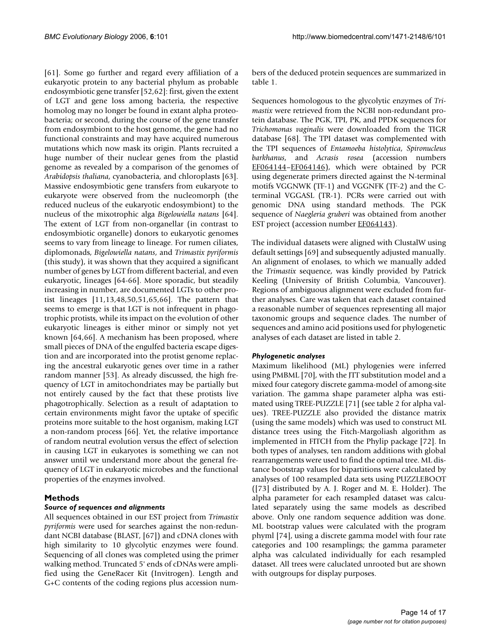[61]. Some go further and regard every affiliation of a eukaryotic protein to any bacterial phylum as probable endosymbiotic gene transfer [52,62]: first, given the extent of LGT and gene loss among bacteria, the respective homolog may no longer be found in extant alpha proteobacteria; or second, during the course of the gene transfer from endosymbiont to the host genome, the gene had no functional constraints and may have acquired numerous mutations which now mask its origin. Plants recruited a huge number of their nuclear genes from the plastid genome as revealed by a comparison of the genomes of *Arabidopsis thaliana*, cyanobacteria, and chloroplasts [63]. Massive endosymbiotic gene transfers from eukaryote to eukaryote were observed from the nucleomorph (the reduced nucleus of the eukaryotic endosymbiont) to the nucleus of the mixotrophic alga *Bigelowiella natans* [64]. The extent of LGT from non-organellar (in contrast to endosymbiotic organelle) donors to eukaryotic genomes seems to vary from lineage to lineage. For rumen ciliates, diplomonads, *Bigelowiella natans*, and *Trimastix pyriformis* (this study), it was shown that they acquired a significant number of genes by LGT from different bacterial, and even eukaryotic, lineages [64-66]. More sporadic, but steadily increasing in number, are documented LGTs to other protist lineages [11,13,48,50,51,65,66]. The pattern that seems to emerge is that LGT is not infrequent in phagotrophic protists, while its impact on the evolution of other eukaryotic lineages is either minor or simply not yet known [64,66]. A mechanism has been proposed, where small pieces of DNA of the engulfed bacteria escape digestion and are incorporated into the protist genome replacing the ancestral eukaryotic genes over time in a rather random manner [53]. As already discussed, the high frequency of LGT in amitochondriates may be partially but not entirely caused by the fact that these protists live phagotrophically. Selection as a result of adaptation to certain environments might favor the uptake of specific proteins more suitable to the host organism, making LGT a non-random process [66]. Yet, the relative importance of random neutral evolution versus the effect of selection in causing LGT in eukaryotes is something we can not answer until we understand more about the general frequency of LGT in eukaryotic microbes and the functional properties of the enzymes involved.

#### **Methods**

#### *Source of sequences and alignments*

All sequences obtained in our EST project from *Trimastix pyriformis* were used for searches against the non-redundant NCBI database (BLAST, [67]) and cDNA clones with high similarity to 10 glycolytic enzymes were found. Sequencing of all clones was completed using the primer walking method. Truncated 5' ends of cDNAs were amplified using the GeneRacer Kit (Invitrogen). Length and G+C contents of the coding regions plus accession numbers of the deduced protein sequences are summarized in table 1.

Sequences homologous to the glycolytic enzymes of *Trimastix* were retrieved from the NCBI non-redundant protein database. The PGK, TPI, PK, and PPDK sequences for *Trichomonas vaginalis* were downloaded from the TIGR database [68]. The TPI dataset was complemented with the TPI sequences of *Entamoeba histolytica*, *Spironucleus barkhanus*, and *Acrasis rosea* (accession numbers [EF064144](http://www.ncbi.nih.gov/entrez/query.fcgi?db=Nucleotide&cmd=search&term=EF064144)[–EF064146](http://www.ncbi.nih.gov/entrez/query.fcgi?db=Nucleotide&cmd=search&term=EF064146)), which were obtained by PCR using degenerate primers directed against the N-terminal motifs VGGNWK (TF-1) and VGGNFK (TF-2) and the Cterminal VGGASL (TR-1). PCRs were carried out with genomic DNA using standard methods. The PGK sequence of *Naegleria gruberi* was obtained from another EST project (accession number [EF064143](http://www.ncbi.nih.gov/entrez/query.fcgi?db=Nucleotide&cmd=search&term=EF064143)).

The individual datasets were aligned with ClustalW using default settings [69] and subsequently adjusted manually. An alignment of enolases, to which we manually added the *Trimastix* sequence, was kindly provided by Patrick Keeling (University of British Columbia, Vancouver). Regions of ambiguous alignment were excluded from further analyses. Care was taken that each dataset contained a reasonable number of sequences representing all major taxonomic groups and sequence clades. The number of sequences and amino acid positions used for phylogenetic analyses of each dataset are listed in table 2.

#### *Phylogenetic analyses*

Maximum likelihood (ML) phylogenies were inferred using PMBML [70], with the JTT substitution model and a mixed four category discrete gamma-model of among-site variation. The gamma shape parameter alpha was estimated using TREE-PUZZLE [71] (see table 2 for alpha values). TREE-PUZZLE also provided the distance matrix (using the same models) which was used to construct ML distance trees using the Fitch-Margoliash algorithm as implemented in FITCH from the Phylip package [72]. In both types of analyses, ten random additions with global rearrangements were used to find the optimal tree. ML distance bootstrap values for bipartitions were calculated by analyses of 100 resampled data sets using PUZZLEBOOT ([73] distributed by A. J. Roger and M. E. Holder). The alpha parameter for each resampled dataset was calculated separately using the same models as described above. Only one random sequence addition was done. ML bootstrap values were calculated with the program phyml [74], using a discrete gamma model with four rate categories and 100 resamplings; the gamma parameter alpha was calculated individually for each resampled dataset. All trees were caluclated unrooted but are shown with outgroups for display purposes.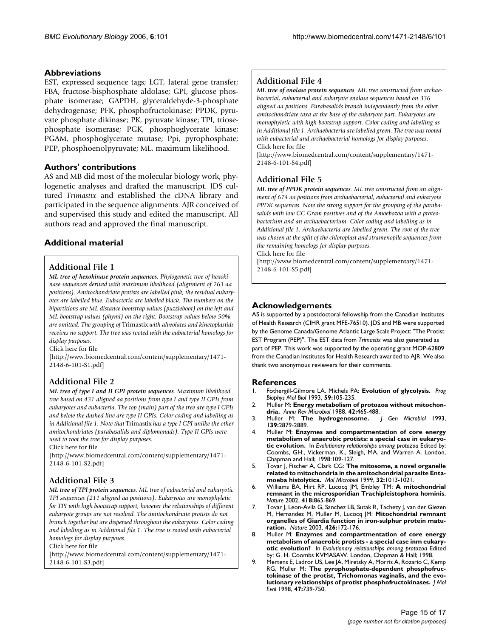#### **Abbreviations**

EST, expressed sequence tags; LGT, lateral gene transfer; FBA, fructose-bisphosphate aldolase; GPI, glucose phosphate isomerase; GAPDH, glyceraldehyde-3-phosphate dehydrogenase; PFK, phosphofructokinase; PPDK, pyruvate phosphate dikinase; PK, pyruvate kinase; TPI, triosephosphate isomerase; PGK, phosphoglycerate kinase; PGAM, phosphoglycerate mutase; Ppi, pyrophosphate; PEP, phosphoenolpyruvate; ML, maximum likelihood.

#### **Authors' contributions**

AS and MB did most of the molecular biology work, phylogenetic analyses and drafted the manuscript. JDS cultured *Trimastix* and established the cDNA library and participated in the sequence alignments. AJR conceived of and supervised this study and edited the manuscript. All authors read and approved the final manuscript.

# **Additional material**

#### **Additional File 1**

*ML tree of hexokinase protein sequences. Phylogenetic tree of hexokinase sequences derived with maximum likelihood (alignment of 263 aa positions). Amitochondriate protists are labelled pink, the residual eukaryotes are labelled blue. Eubacteria are labelled black. The numbers on the bipartitions are ML distance bootstrap values (puzzleboot) on the left and ML bootstrap values (phyml) on the right. Bootstrap values below 50% are omitted. The grouping of* Trimastix *with alveolates and kinetoplastids receives no support. The tree was rooted with the eubacterial homologs for display purposes.*

Click here for file

[\[http://www.biomedcentral.com/content/supplementary/1471-](http://www.biomedcentral.com/content/supplementary/1471-2148-6-101-S1.pdf) 2148-6-101-S1.pdf]

# **Additional File 2**

*ML tree of type I and II GPI protein sequences. Maximum likelihood tree based on 431 aligned aa positions from type I and type II GPIs from eukaryotes and eubacteria. The top (main) part of the tree are type I GPIs and below the dashed line are type II GPIs. Color coding and labelling as in Additional file 1. Note that* Trimastix *has a type I GPI unlike the other amitochondriates (parabasalids and diplomonads). Type II GPIs were used to root the tree for display purposes.*

Click here for file

[\[http://www.biomedcentral.com/content/supplementary/1471-](http://www.biomedcentral.com/content/supplementary/1471-2148-6-101-S2.pdf) 2148-6-101-S2.pdf]

# **Additional File 3**

*ML tree of TPI protein sequences. ML tree of eubacterial and eukaryotic TPI sequences (211 aligned aa positions). Eukaryotes are monophyletic for TPI with high bootstrap support, however the relationships of different eukaryote groups are not resolved. The amitochondriate protists do not branch together but are dispersed throughout the eukaryotes. Color coding and labelling as in Additional file 1. The tree is rooted with eubacterial homologs for display purposes.*

Click here for file

[\[http://www.biomedcentral.com/content/supplementary/1471-](http://www.biomedcentral.com/content/supplementary/1471-2148-6-101-S3.pdf) 2148-6-101-S3.pdf]

# **Additional File 4**

*ML tree of enolase protein sequences. ML tree constructed from archaebacterial, eubacterial and eukaryote enolase sequences based on 336 aligned aa positions. Parabasalids branch independently from the other amitochondriate taxa at the base of the eukaryote part. Eukaryotes are monophyletic with high bootstrap support. Color coding and labelling as in Additional file 1. Archaebacteria are labelled green. The tree was rooted with eubacterial and archaebacterial homologs for display purposes.* Click here for file

[\[http://www.biomedcentral.com/content/supplementary/1471-](http://www.biomedcentral.com/content/supplementary/1471-2148-6-101-S4.pdf) 2148-6-101-S4.pdf]

# **Additional File 5**

*ML tree of PPDK protein sequences. ML tree constructed from an alignment of 674 aa positions from archaebacterial, eubacterial and eukaryote PPDK sequences. Note the strong support for the grouping of the parabasalids with low GC Gram positives and of the Amoebozoa with a proteobacterium and an archaebacterium. Color coding and labelling as in Additional file 1. Archaebacteria are labelled green. The root of the tree was chosen at the split of the chloroplast and stramenopile sequences from the remaining homologs for display purposes.*

Click here for file

[\[http://www.biomedcentral.com/content/supplementary/1471-](http://www.biomedcentral.com/content/supplementary/1471-2148-6-101-S5.pdf) 2148-6-101-S5.pdf]

#### **Acknowledgements**

AS is supported by a postdoctoral fellowship from the Canadian Institutes of Health Research (CIHR grant MFE-76510). JDS and MB were supported by the Genome Canada/Genome Atlantic Large Scale Project: "The Protist EST Program (PEP)". The EST data from *Trimastix* was also generated as part of PEP. This work was supported by the operating grant MOP-62809 from the Canadian Institutes for Health Research awarded to AJR. We also thank two anonymous reviewers for their comments.

#### **References**

- 1. Fothergill-Gilmore LA, Michels PA: **[Evolution of glycolysis.](http://www.ncbi.nlm.nih.gov/entrez/query.fcgi?cmd=Retrieve&db=PubMed&dopt=Abstract&list_uids=8426905)** *Prog Biophys Mol Biol* 1993, **59:**105-235.
- 2. Muller M: **[Energy metabolism of protozoa without mitochon](http://www.ncbi.nlm.nih.gov/entrez/query.fcgi?cmd=Retrieve&db=PubMed&dopt=Abstract&list_uids=3059999)[dria.](http://www.ncbi.nlm.nih.gov/entrez/query.fcgi?cmd=Retrieve&db=PubMed&dopt=Abstract&list_uids=3059999)** *Annu Rev Microbiol* 1988, **42:**465-488.
- 3. Muller M: [The hydrogenosome.](http://www.ncbi.nlm.nih.gov/entrez/query.fcgi?cmd=Retrieve&db=PubMed&dopt=Abstract&list_uids=8126416) **139:**2879-2889.
- 4. Muller M: **Enzymes and compartmentation of core energy metabolism of anaerobic protists: a special case in eukaryotic evolution.** In *Evolutionary relationships among protozoa* Edited by: Coombs, GH., Vickerman, K., Sleigh, MA. and Warren A. London, Chapman and Hall; 1998:109-127.
- 5. Tovar J, Fischer A, Clark CG: **[The mitosome, a novel organelle](http://www.ncbi.nlm.nih.gov/entrez/query.fcgi?cmd=Retrieve&db=PubMed&dopt=Abstract&list_uids=10361303) [related to mitochondria in the amitochondrial parasite Enta](http://www.ncbi.nlm.nih.gov/entrez/query.fcgi?cmd=Retrieve&db=PubMed&dopt=Abstract&list_uids=10361303)[moeba histolytica.](http://www.ncbi.nlm.nih.gov/entrez/query.fcgi?cmd=Retrieve&db=PubMed&dopt=Abstract&list_uids=10361303)** *Mol Microbiol* 1999, **32:**1013-1021.
- 6. Williams BA, Hirt RP, Lucocq JM, Embley TM: **[A mitochondrial](http://www.ncbi.nlm.nih.gov/entrez/query.fcgi?cmd=Retrieve&db=PubMed&dopt=Abstract&list_uids=12192407) [remnant in the microsporidian Trachipleistophora hominis.](http://www.ncbi.nlm.nih.gov/entrez/query.fcgi?cmd=Retrieve&db=PubMed&dopt=Abstract&list_uids=12192407)** *Nature* 2002, **418:**865-869.
- 7. Tovar J, Leon-Avila G, Sanchez LB, Sutak R, Tachezy J, van der Giezen M, Hernandez M, Muller M, Lucocq JM: **[Mitochondrial remnant](http://www.ncbi.nlm.nih.gov/entrez/query.fcgi?cmd=Retrieve&db=PubMed&dopt=Abstract&list_uids=14614504) [organelles of Giardia function in iron-sulphur protein matu](http://www.ncbi.nlm.nih.gov/entrez/query.fcgi?cmd=Retrieve&db=PubMed&dopt=Abstract&list_uids=14614504)[ration.](http://www.ncbi.nlm.nih.gov/entrez/query.fcgi?cmd=Retrieve&db=PubMed&dopt=Abstract&list_uids=14614504)** *Nature* 2003, **426:**172-176.
- 8. Muller M: **Enzymes and compartmentation of core energy metabolism of anaerobic protists - a special case inm eukaryotic evolution?** In *Evolutionary relationships among protozoa* Edited by: G. H. Coombs KVMASAW. London, Chapman & Hall; 1998.
- 9. Mertens E, Ladror US, Lee JA, Miretsky A, Morris A, Rozario C, Kemp RG, Muller M: **[The pyrophosphate-dependent phosphofruc](http://www.ncbi.nlm.nih.gov/entrez/query.fcgi?cmd=Retrieve&db=PubMed&dopt=Abstract&list_uids=9847416)[tokinase of the protist, Trichomonas vaginalis, and the evo](http://www.ncbi.nlm.nih.gov/entrez/query.fcgi?cmd=Retrieve&db=PubMed&dopt=Abstract&list_uids=9847416)[lutionary relationships of protist phosphofructokinases.](http://www.ncbi.nlm.nih.gov/entrez/query.fcgi?cmd=Retrieve&db=PubMed&dopt=Abstract&list_uids=9847416)** *J Mol Evol* 1998, **47:**739-750.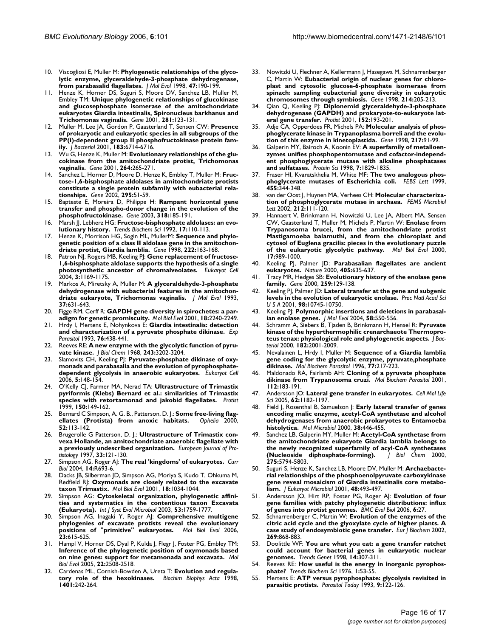- 10. Viscogliosi E, Muller M: **[Phylogenetic relationships of the glyco](http://www.ncbi.nlm.nih.gov/entrez/query.fcgi?cmd=Retrieve&db=PubMed&dopt=Abstract&list_uids=9694668)[lytic enzyme, glyceraldehyde-3-phosphate dehydrogenase,](http://www.ncbi.nlm.nih.gov/entrez/query.fcgi?cmd=Retrieve&db=PubMed&dopt=Abstract&list_uids=9694668) [from parabasalid flagellates.](http://www.ncbi.nlm.nih.gov/entrez/query.fcgi?cmd=Retrieve&db=PubMed&dopt=Abstract&list_uids=9694668)** *J Mol Evol* 1998, **47:**190-199.
- 11. Henze K, Horner DS, Suguri S, Moore DV, Sanchez LB, Muller M, Embley TM: **[Unique phylogenetic relationships of glucokinase](http://www.ncbi.nlm.nih.gov/entrez/query.fcgi?cmd=Retrieve&db=PubMed&dopt=Abstract&list_uids=11750134) [and glucosephosphate isomerase of the amitochondriate](http://www.ncbi.nlm.nih.gov/entrez/query.fcgi?cmd=Retrieve&db=PubMed&dopt=Abstract&list_uids=11750134) eukaryotes Giardia intestinalis, Spironucleus barkhanus and [Trichomonas vaginalis.](http://www.ncbi.nlm.nih.gov/entrez/query.fcgi?cmd=Retrieve&db=PubMed&dopt=Abstract&list_uids=11750134)** *Gene* 2001, **281:**123-131.
- 12. Muller M, Lee JA, Gordon P, Gaasterland T, Sensen CW: **[Presence](http://www.ncbi.nlm.nih.gov/entrez/query.fcgi?cmd=Retrieve&db=PubMed&dopt=Abstract&list_uids=11673446) [of prokaryotic and eukaryotic species in all subgroups of the](http://www.ncbi.nlm.nih.gov/entrez/query.fcgi?cmd=Retrieve&db=PubMed&dopt=Abstract&list_uids=11673446) PP(i)-dependent group II phosphofructokinase protein fam[ily.](http://www.ncbi.nlm.nih.gov/entrez/query.fcgi?cmd=Retrieve&db=PubMed&dopt=Abstract&list_uids=11673446)** *J Bacteriol* 2001, **183:**6714-6716.
- 13. Wu G, Henze K, Muller M: **[Evolutionary relationships of the glu](http://www.ncbi.nlm.nih.gov/entrez/query.fcgi?cmd=Retrieve&db=PubMed&dopt=Abstract&list_uids=11250082)[cokinase from the amitochondriate protist, Trichomonas](http://www.ncbi.nlm.nih.gov/entrez/query.fcgi?cmd=Retrieve&db=PubMed&dopt=Abstract&list_uids=11250082) [vaginalis.](http://www.ncbi.nlm.nih.gov/entrez/query.fcgi?cmd=Retrieve&db=PubMed&dopt=Abstract&list_uids=11250082)** *Gene* 2001, **264:**265-271.
- 14. Sanchez L, Horner D, Moore D, Henze K, Embley T, Muller M: **[Fruc](http://www.ncbi.nlm.nih.gov/entrez/query.fcgi?cmd=Retrieve&db=PubMed&dopt=Abstract&list_uids=12242011)[tose-1,6-bisphosphate aldolases in amitochondriate protists](http://www.ncbi.nlm.nih.gov/entrez/query.fcgi?cmd=Retrieve&db=PubMed&dopt=Abstract&list_uids=12242011) constitute a single protein subfamily with eubacterial rela[tionships.](http://www.ncbi.nlm.nih.gov/entrez/query.fcgi?cmd=Retrieve&db=PubMed&dopt=Abstract&list_uids=12242011)** *Gene* 2002, **295:**51-59.
- 15. Bapteste E, Moreira D, Philippe H: **[Rampant horizontal gene](http://www.ncbi.nlm.nih.gov/entrez/query.fcgi?cmd=Retrieve&db=PubMed&dopt=Abstract&list_uids=14585511) [transfer and phospho-donor change in the evolution of the](http://www.ncbi.nlm.nih.gov/entrez/query.fcgi?cmd=Retrieve&db=PubMed&dopt=Abstract&list_uids=14585511) [phosphofructokinase.](http://www.ncbi.nlm.nih.gov/entrez/query.fcgi?cmd=Retrieve&db=PubMed&dopt=Abstract&list_uids=14585511)** *Gene* 2003, **318:**185-191.
- 16. Marsh JJ, Lebherz HG: **[Fructose-bisphosphate aldolases: an evo](http://www.ncbi.nlm.nih.gov/entrez/query.fcgi?cmd=Retrieve&db=PubMed&dopt=Abstract&list_uids=1412694)[lutionary history.](http://www.ncbi.nlm.nih.gov/entrez/query.fcgi?cmd=Retrieve&db=PubMed&dopt=Abstract&list_uids=1412694)** *Trends Biochem Sci* 1992, **17:**110-113.
- 17. Henze K, Morrison HG, Sogin ML, MullerM: **[Sequence and phylo](http://www.ncbi.nlm.nih.gov/entrez/query.fcgi?cmd=Retrieve&db=PubMed&dopt=Abstract&list_uids=9831644)[genetic position of a class II aldolase gene in the amitochon](http://www.ncbi.nlm.nih.gov/entrez/query.fcgi?cmd=Retrieve&db=PubMed&dopt=Abstract&list_uids=9831644)[driate protist, Giardia lamblia.](http://www.ncbi.nlm.nih.gov/entrez/query.fcgi?cmd=Retrieve&db=PubMed&dopt=Abstract&list_uids=9831644)** *Gene* 1998, **222:**163-168.
- 18. Patron NJ, Rogers MB, Keeling PJ: **[Gene replacement of fructose-](http://www.ncbi.nlm.nih.gov/entrez/query.fcgi?cmd=Retrieve&db=PubMed&dopt=Abstract&list_uids=15470245)[1,6-bisphosphate aldolase supports the hypothesis of a single](http://www.ncbi.nlm.nih.gov/entrez/query.fcgi?cmd=Retrieve&db=PubMed&dopt=Abstract&list_uids=15470245) [photosynthetic ancestor of chromalveolates.](http://www.ncbi.nlm.nih.gov/entrez/query.fcgi?cmd=Retrieve&db=PubMed&dopt=Abstract&list_uids=15470245)** *Eukaryot Cell* 2004, **3:**1169-1175.
- 19. Markos A, Miretsky A, Muller M: **[A glyceraldehyde-3-phosphate](http://www.ncbi.nlm.nih.gov/entrez/query.fcgi?cmd=Retrieve&db=PubMed&dopt=Abstract&list_uids=8114116) [dehydrogenase with eubacterial features in the amitochon](http://www.ncbi.nlm.nih.gov/entrez/query.fcgi?cmd=Retrieve&db=PubMed&dopt=Abstract&list_uids=8114116)[driate eukaryote, Trichomonas vaginalis.](http://www.ncbi.nlm.nih.gov/entrez/query.fcgi?cmd=Retrieve&db=PubMed&dopt=Abstract&list_uids=8114116)** *J Mol Evol* 1993, **37:**631-643.
- 20. Figge RM, Cerff R: **[GAPDH gene diversity in spirochetes: a par](http://www.ncbi.nlm.nih.gov/entrez/query.fcgi?cmd=Retrieve&db=PubMed&dopt=Abstract&list_uids=11719573)[adigm for genetic promiscuity.](http://www.ncbi.nlm.nih.gov/entrez/query.fcgi?cmd=Retrieve&db=PubMed&dopt=Abstract&list_uids=11719573)** *Mol Biol Evol* 2001, **18:**2240-2249.
- 21. Hrdy I, Mertens E, Nohynkova E: **[Giardia intestinalis: detection](http://www.ncbi.nlm.nih.gov/entrez/query.fcgi?cmd=Retrieve&db=PubMed&dopt=Abstract&list_uids=8390372) [and characterization of a pyruvate phosphate dikinase.](http://www.ncbi.nlm.nih.gov/entrez/query.fcgi?cmd=Retrieve&db=PubMed&dopt=Abstract&list_uids=8390372)** *Exp Parasitol* 1993, **76:**438-441.
- 22. Reeves RE: **[A new enzyme with the glycolytic function of pyru](http://www.ncbi.nlm.nih.gov/entrez/query.fcgi?cmd=Retrieve&db=PubMed&dopt=Abstract&list_uids=4297474)[vate kinase.](http://www.ncbi.nlm.nih.gov/entrez/query.fcgi?cmd=Retrieve&db=PubMed&dopt=Abstract&list_uids=4297474)** *J Biol Chem* 1968, **243:**3202-3204.
- 23. Slamovits CH, Keeling PJ: **[Pyruvate-phosphate dikinase of oxy](http://www.ncbi.nlm.nih.gov/entrez/query.fcgi?cmd=Retrieve&db=PubMed&dopt=Abstract&list_uids=16400177)[monads and parabasalia and the evolution of pyrophosphate](http://www.ncbi.nlm.nih.gov/entrez/query.fcgi?cmd=Retrieve&db=PubMed&dopt=Abstract&list_uids=16400177)[dependent glycolysis in anaerobic eukaryotes.](http://www.ncbi.nlm.nih.gov/entrez/query.fcgi?cmd=Retrieve&db=PubMed&dopt=Abstract&list_uids=16400177)** *Eukaryot Cell* 2006, **5:**148-154.
- 24. O'Kelly CJ, Farmer MA, Nerad TA: **[Ultrastructure of Trimastix](http://www.ncbi.nlm.nih.gov/entrez/query.fcgi?cmd=Retrieve&db=PubMed&dopt=Abstract&list_uids=10505415) [pyriformis \(Klebs\) Bernard et al.: similarities of Trimastix](http://www.ncbi.nlm.nih.gov/entrez/query.fcgi?cmd=Retrieve&db=PubMed&dopt=Abstract&list_uids=10505415) [species with retortamonad and jakobid flagellates.](http://www.ncbi.nlm.nih.gov/entrez/query.fcgi?cmd=Retrieve&db=PubMed&dopt=Abstract&list_uids=10505415)** *Protist* 1999, **150:**149-162.
- 25. Bernard C Simpson, A. G. B., Patterson, D. J.: **Some free-living flagellates (Protista) from anoxic habitats.** *Ophelia* 2000, **52:**113-142.
- 26. Brugerolle G Patterson, D. J.: **Ultrastructure of Trimastix convexa Hollande, an amitochondriate anaerobic flagellate with a previously undescribed organization.** *European Journal of Protistology* 1997, **33:**121-130.
- 27. Simpson AG, Roger AJ: **[The real 'kingdoms' of eukaryotes.](http://www.ncbi.nlm.nih.gov/entrez/query.fcgi?cmd=Retrieve&db=PubMed&dopt=Abstract&list_uids=15341755)** *Curr Biol* 2004, **14:**R693-6.
- 28. Dacks JB, Silberman JD, Simpson AG, Moriya S, Kudo T, Ohkuma M, Redfield RJ: **[Oxymonads are closely related to the excavate](http://www.ncbi.nlm.nih.gov/entrez/query.fcgi?cmd=Retrieve&db=PubMed&dopt=Abstract&list_uids=11371592) [taxon Trimastix.](http://www.ncbi.nlm.nih.gov/entrez/query.fcgi?cmd=Retrieve&db=PubMed&dopt=Abstract&list_uids=11371592)** *Mol Biol Evol* 2001, **18:**1034-1044.
- Simpson AG: [Cytoskeletal organization, phylogenetic affini](http://www.ncbi.nlm.nih.gov/entrez/query.fcgi?cmd=Retrieve&db=PubMed&dopt=Abstract&list_uids=14657103)**[ties and systematics in the contentious taxon Excavata](http://www.ncbi.nlm.nih.gov/entrez/query.fcgi?cmd=Retrieve&db=PubMed&dopt=Abstract&list_uids=14657103) [\(Eukaryota\).](http://www.ncbi.nlm.nih.gov/entrez/query.fcgi?cmd=Retrieve&db=PubMed&dopt=Abstract&list_uids=14657103)** *Int J Syst Evol Microbiol* 2003, **53:**1759-1777.
- 30. Simpson AG, Inagaki Y, Roger AJ: **[Comprehensive multigene](http://www.ncbi.nlm.nih.gov/entrez/query.fcgi?cmd=Retrieve&db=PubMed&dopt=Abstract&list_uids=16308337) [phylogenies of excavate protists reveal the evolutionary](http://www.ncbi.nlm.nih.gov/entrez/query.fcgi?cmd=Retrieve&db=PubMed&dopt=Abstract&list_uids=16308337) [positions of "primitive" eukaryotes.](http://www.ncbi.nlm.nih.gov/entrez/query.fcgi?cmd=Retrieve&db=PubMed&dopt=Abstract&list_uids=16308337)** *Mol Biol Evol* 2006, **23:**615-625.
- 31. Hampl V, Horner DS, Dyal P, Kulda J, Flegr J, Foster PG, Embley TM: **[Inference of the phylogenetic position of oxymonads based](http://www.ncbi.nlm.nih.gov/entrez/query.fcgi?cmd=Retrieve&db=PubMed&dopt=Abstract&list_uids=16120804) [on nine genes: support for metamonada and excavata.](http://www.ncbi.nlm.nih.gov/entrez/query.fcgi?cmd=Retrieve&db=PubMed&dopt=Abstract&list_uids=16120804)** *Mol Biol Evol* 2005, **22:**2508-2518.
- 32. Cardenas ML, Cornish-Bowden A, Ureta T: **[Evolution and regula](http://www.ncbi.nlm.nih.gov/entrez/query.fcgi?cmd=Retrieve&db=PubMed&dopt=Abstract&list_uids=9540816)[tory role of the hexokinases.](http://www.ncbi.nlm.nih.gov/entrez/query.fcgi?cmd=Retrieve&db=PubMed&dopt=Abstract&list_uids=9540816)** *Biochim Biophys Acta* 1998, **1401:**242-264.
- 33. Nowitzki U, Flechner A, Kellermann J, Hasegawa M, Schnarrenberger C, Martin W: **[Eubacterial origin of nuclear genes for chloro](http://www.ncbi.nlm.nih.gov/entrez/query.fcgi?cmd=Retrieve&db=PubMed&dopt=Abstract&list_uids=9651529)[plast and cytosolic glucose-6-phosphate isomerase from](http://www.ncbi.nlm.nih.gov/entrez/query.fcgi?cmd=Retrieve&db=PubMed&dopt=Abstract&list_uids=9651529) spinach: sampling eubacterial gene diversity in eukaryotic [chromosomes through symbiosis.](http://www.ncbi.nlm.nih.gov/entrez/query.fcgi?cmd=Retrieve&db=PubMed&dopt=Abstract&list_uids=9651529)** *Gene* 1998, **214:**205-213.
- 34. Qian Q, Keeling PJ: **[Diplonemid glyceraldehyde-3-phosphate](http://www.ncbi.nlm.nih.gov/entrez/query.fcgi?cmd=Retrieve&db=PubMed&dopt=Abstract&list_uids=11693658) [dehydrogenase \(GAPDH\) and prokaryote-to-eukaryote lat](http://www.ncbi.nlm.nih.gov/entrez/query.fcgi?cmd=Retrieve&db=PubMed&dopt=Abstract&list_uids=11693658)[eral gene transfer.](http://www.ncbi.nlm.nih.gov/entrez/query.fcgi?cmd=Retrieve&db=PubMed&dopt=Abstract&list_uids=11693658)** *Protist* 2001, **152:**193-201.
- 35. Adje CA, Opperdoes FR, Michels PA: **[Molecular analysis of phos](http://www.ncbi.nlm.nih.gov/entrez/query.fcgi?cmd=Retrieve&db=PubMed&dopt=Abstract&list_uids=9795157)[phoglycerate kinase in Trypanoplasma borreli and the evolu](http://www.ncbi.nlm.nih.gov/entrez/query.fcgi?cmd=Retrieve&db=PubMed&dopt=Abstract&list_uids=9795157)[tion of this enzyme in kinetoplastida.](http://www.ncbi.nlm.nih.gov/entrez/query.fcgi?cmd=Retrieve&db=PubMed&dopt=Abstract&list_uids=9795157)** *Gene* 1998, **217:**91-99.
- 36. Galperin MY, Bairoch A, Koonin EV: **[A superfamily of metalloen](http://www.ncbi.nlm.nih.gov/entrez/query.fcgi?cmd=Retrieve&db=PubMed&dopt=Abstract&list_uids=10082381)[zymes unifies phosphopentomutase and cofactor-independ](http://www.ncbi.nlm.nih.gov/entrez/query.fcgi?cmd=Retrieve&db=PubMed&dopt=Abstract&list_uids=10082381)ent phosphoglycerate mutase with alkaline phosphatases [and sulfatases.](http://www.ncbi.nlm.nih.gov/entrez/query.fcgi?cmd=Retrieve&db=PubMed&dopt=Abstract&list_uids=10082381)** *Protein Sci* 1998, **7:**1829-1835.
- 37. Fraser HI, Kvaratskhelia M, White MF: **[The two analogous phos](http://www.ncbi.nlm.nih.gov/entrez/query.fcgi?cmd=Retrieve&db=PubMed&dopt=Abstract&list_uids=10437801)[phoglycerate mutases of Escherichia coli.](http://www.ncbi.nlm.nih.gov/entrez/query.fcgi?cmd=Retrieve&db=PubMed&dopt=Abstract&list_uids=10437801)** *FEBS Lett* 1999, **455:**344-348.
- 38. van der Oost J, Huynen MA, Verhees CH: **[Molecular characteriza](http://www.ncbi.nlm.nih.gov/entrez/query.fcgi?cmd=Retrieve&db=PubMed&dopt=Abstract&list_uids=12076796)[tion of phosphoglycerate mutase in archaea.](http://www.ncbi.nlm.nih.gov/entrez/query.fcgi?cmd=Retrieve&db=PubMed&dopt=Abstract&list_uids=12076796)** *FEMS Microbiol Lett* 2002, **212:**111-120.
- 39. Hannaert V, Brinkmann H, Nowitzki U, Lee JA, Albert MA, Sensen CW, Gaasterland T, Muller M, Michels P, Martin W: **[Enolase from](http://www.ncbi.nlm.nih.gov/entrez/query.fcgi?cmd=Retrieve&db=PubMed&dopt=Abstract&list_uids=10889212) Trypanosoma brucei, from the amitochondriate protist [Mastigamoeba balamuthi, and from the chloroplast and](http://www.ncbi.nlm.nih.gov/entrez/query.fcgi?cmd=Retrieve&db=PubMed&dopt=Abstract&list_uids=10889212) cytosol of Euglena gracilis: pieces in the evolutionary puzzle [of the eukaryotic glycolytic pathway.](http://www.ncbi.nlm.nih.gov/entrez/query.fcgi?cmd=Retrieve&db=PubMed&dopt=Abstract&list_uids=10889212)** *Mol Biol Evol* 2000, **17:**989-1000.
- 40. Keeling PJ, Palmer JD: **[Parabasalian flagellates are ancient](http://www.ncbi.nlm.nih.gov/entrez/query.fcgi?cmd=Retrieve&db=PubMed&dopt=Abstract&list_uids=10864312) [eukaryotes.](http://www.ncbi.nlm.nih.gov/entrez/query.fcgi?cmd=Retrieve&db=PubMed&dopt=Abstract&list_uids=10864312)** *Nature* 2000, **405:**635-637.
- 41. Tracy MR, Hedges SB: **[Evolutionary history of the enolase gene](http://www.ncbi.nlm.nih.gov/entrez/query.fcgi?cmd=Retrieve&db=PubMed&dopt=Abstract&list_uids=11163970) [family.](http://www.ncbi.nlm.nih.gov/entrez/query.fcgi?cmd=Retrieve&db=PubMed&dopt=Abstract&list_uids=11163970)** *Gene* 2000, **259:**129-138.
- 42. Keeling PJ, Palmer JD: **[Lateral transfer at the gene and subgenic](http://www.ncbi.nlm.nih.gov/entrez/query.fcgi?cmd=Retrieve&db=PubMed&dopt=Abstract&list_uids=11526220) [levels in the evolution of eukaryotic enolase.](http://www.ncbi.nlm.nih.gov/entrez/query.fcgi?cmd=Retrieve&db=PubMed&dopt=Abstract&list_uids=11526220)** *Proc Natl Acad Sci U S A* 2001, **98:**10745-10750.
- 43. Keeling PJ: **[Polymorphic insertions and deletions in parabasal](http://www.ncbi.nlm.nih.gov/entrez/query.fcgi?cmd=Retrieve&db=PubMed&dopt=Abstract&list_uids=15170258)[ian enolase genes.](http://www.ncbi.nlm.nih.gov/entrez/query.fcgi?cmd=Retrieve&db=PubMed&dopt=Abstract&list_uids=15170258)** *J Mol Evol* 2004, **58:**550-556.
- 44. Schramm A, Siebers B, Tjaden B, Brinkmann H, Hensel R: **[Pyruvate](http://www.ncbi.nlm.nih.gov/entrez/query.fcgi?cmd=Retrieve&db=PubMed&dopt=Abstract&list_uids=10715009) [kinase of the hyperthermophilic crenarchaeote Thermopro](http://www.ncbi.nlm.nih.gov/entrez/query.fcgi?cmd=Retrieve&db=PubMed&dopt=Abstract&list_uids=10715009)[teus tenax: physiological role and phylogenetic aspects.](http://www.ncbi.nlm.nih.gov/entrez/query.fcgi?cmd=Retrieve&db=PubMed&dopt=Abstract&list_uids=10715009)** *J Bacteriol* 2000, **182:**2001-2009.
- 45. Nevalainen L, Hrdy I, Muller M: **[Sequence of a Giardia lamblia](http://www.ncbi.nlm.nih.gov/entrez/query.fcgi?cmd=Retrieve&db=PubMed&dopt=Abstract&list_uids=8813667) [gene coding for the glycolytic enzyme, pyruvate,phosphate](http://www.ncbi.nlm.nih.gov/entrez/query.fcgi?cmd=Retrieve&db=PubMed&dopt=Abstract&list_uids=8813667) [dikinase.](http://www.ncbi.nlm.nih.gov/entrez/query.fcgi?cmd=Retrieve&db=PubMed&dopt=Abstract&list_uids=8813667)** *Mol Biochem Parasitol* 1996, **77:**217-223.
- 46. Maldonado RA, Fairlamb AH: **[Cloning of a pyruvate phosphate](http://www.ncbi.nlm.nih.gov/entrez/query.fcgi?cmd=Retrieve&db=PubMed&dopt=Abstract&list_uids=11223125) [dikinase from Trypanosoma cruzi.](http://www.ncbi.nlm.nih.gov/entrez/query.fcgi?cmd=Retrieve&db=PubMed&dopt=Abstract&list_uids=11223125)** *Mol Biochem Parasitol* 2001, **112:**183-191.
- 47. Andersson JO: **[Lateral gene transfer in eukaryotes.](http://www.ncbi.nlm.nih.gov/entrez/query.fcgi?cmd=Retrieve&db=PubMed&dopt=Abstract&list_uids=15761667)** *Cell Mol Life Sci* 2005, **62:**1182-1197.
- 48. Field J, Rosenthal B, Samuelson J: **[Early lateral transfer of genes](http://www.ncbi.nlm.nih.gov/entrez/query.fcgi?cmd=Retrieve&db=PubMed&dopt=Abstract&list_uids=11069669) [encoding malic enzyme, acetyl-CoA synthetase and alcohol](http://www.ncbi.nlm.nih.gov/entrez/query.fcgi?cmd=Retrieve&db=PubMed&dopt=Abstract&list_uids=11069669) dehydrogenases from anaerobic prokaryotes to Entamoeba [histolytica.](http://www.ncbi.nlm.nih.gov/entrez/query.fcgi?cmd=Retrieve&db=PubMed&dopt=Abstract&list_uids=11069669)** *Mol Microbiol* 2000, **38:**446-455.
- Sanchez LB, Galperin MY, Muller M: [Acetyl-CoA synthetase from](http://www.ncbi.nlm.nih.gov/entrez/query.fcgi?cmd=Retrieve&db=PubMed&dopt=Abstract&list_uids=10681568) **[the amitochondriate eukaryote Giardia lamblia belongs to](http://www.ncbi.nlm.nih.gov/entrez/query.fcgi?cmd=Retrieve&db=PubMed&dopt=Abstract&list_uids=10681568) the newly recognized superfamily of acyl-CoA synthetases [\(Nucleoside diphosphate-forming\).](http://www.ncbi.nlm.nih.gov/entrez/query.fcgi?cmd=Retrieve&db=PubMed&dopt=Abstract&list_uids=10681568)** *J Biol Chem* 2000, **275:**5794-5803.
- Suguri S, Henze K, Sanchez LB, Moore DV, Muller M: [Archaebacte](http://www.ncbi.nlm.nih.gov/entrez/query.fcgi?cmd=Retrieve&db=PubMed&dopt=Abstract&list_uids=11456327)**[rial relationships of the phosphoenolpyruvate carboxykinase](http://www.ncbi.nlm.nih.gov/entrez/query.fcgi?cmd=Retrieve&db=PubMed&dopt=Abstract&list_uids=11456327) gene reveal mosaicism of Giardia intestinalis core metabo[lism.](http://www.ncbi.nlm.nih.gov/entrez/query.fcgi?cmd=Retrieve&db=PubMed&dopt=Abstract&list_uids=11456327)** *J Eukaryot Microbiol* 2001, **48:**493-497.
- 51. Andersson JO, Hirt RP, Foster PG, Roger AJ: **[Evolution of four](http://www.ncbi.nlm.nih.gov/entrez/query.fcgi?cmd=Retrieve&db=PubMed&dopt=Abstract&list_uids=16551352) [gene families with patchy phylogenetic distributions: influx](http://www.ncbi.nlm.nih.gov/entrez/query.fcgi?cmd=Retrieve&db=PubMed&dopt=Abstract&list_uids=16551352) [of genes into protist genomes.](http://www.ncbi.nlm.nih.gov/entrez/query.fcgi?cmd=Retrieve&db=PubMed&dopt=Abstract&list_uids=16551352)** *BMC Evol Biol* 2006, **6:**27.
- 52. Schnarrenberger C, Martin W: **[Evolution of the enzymes of the](http://www.ncbi.nlm.nih.gov/entrez/query.fcgi?cmd=Retrieve&db=PubMed&dopt=Abstract&list_uids=11846788) [citric acid cycle and the glyoxylate cycle of higher plants. A](http://www.ncbi.nlm.nih.gov/entrez/query.fcgi?cmd=Retrieve&db=PubMed&dopt=Abstract&list_uids=11846788) [case study of endosymbiotic gene transfer.](http://www.ncbi.nlm.nih.gov/entrez/query.fcgi?cmd=Retrieve&db=PubMed&dopt=Abstract&list_uids=11846788)** *Eur J Biochem* 2002, **269:**868-883.
- 53. Doolittle WF: **[You are what you eat: a gene transfer ratchet](http://www.ncbi.nlm.nih.gov/entrez/query.fcgi?cmd=Retrieve&db=PubMed&dopt=Abstract&list_uids=9724962) [could account for bacterial genes in eukaryotic nuclear](http://www.ncbi.nlm.nih.gov/entrez/query.fcgi?cmd=Retrieve&db=PubMed&dopt=Abstract&list_uids=9724962) [genomes.](http://www.ncbi.nlm.nih.gov/entrez/query.fcgi?cmd=Retrieve&db=PubMed&dopt=Abstract&list_uids=9724962)** *Trends Genet* 1998, **14:**307-311.
- 54. Reeves RE: **How useful is the energy in inorganic pyrophosphate?** *Trends Biochem Sci* 1976, **1:**53-55.
- 55. Mertens E: **[ATP versus pyrophosphate: glycolysis revisited in](http://www.ncbi.nlm.nih.gov/entrez/query.fcgi?cmd=Retrieve&db=PubMed&dopt=Abstract&list_uids=15463728) [parasitic protists.](http://www.ncbi.nlm.nih.gov/entrez/query.fcgi?cmd=Retrieve&db=PubMed&dopt=Abstract&list_uids=15463728)** *Parasitol Today* 1993, **9:**122-126.